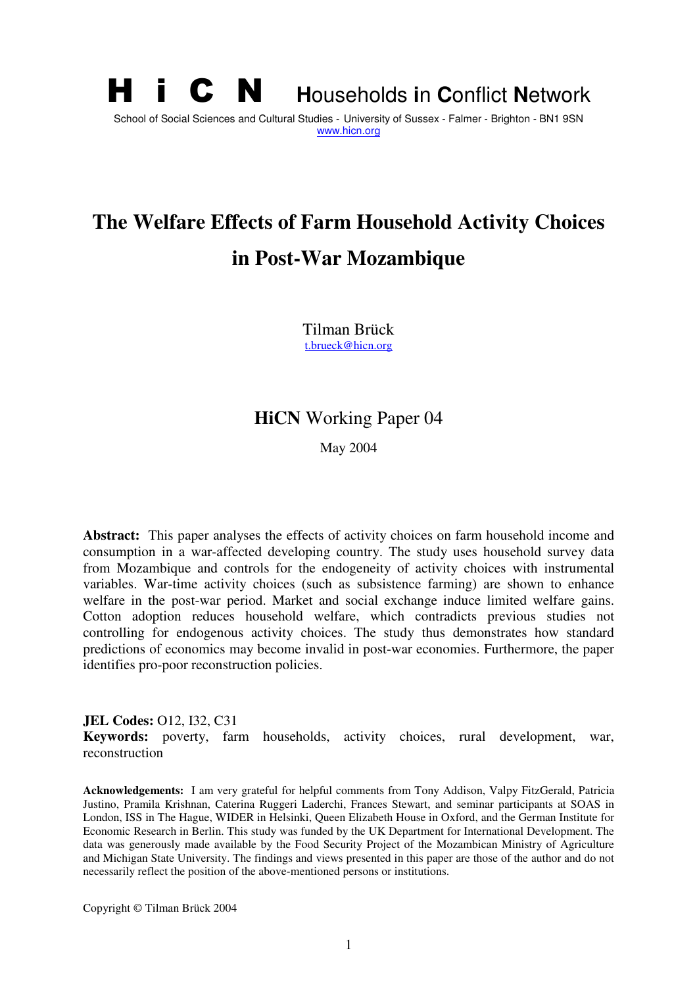# **H i C N Households in Conflict Network** School of Social Sciences and Cultural Studies - University of Sussex - Falmer - Brighton - BN1 9SN www.hicn.org

# **The Welfare Effects of Farm Household Activity Choices in Post-War Mozambique**

Tilman Brück t.brueck@hicn.org

# **HiCN** Working Paper 04

May 2004

**Abstract:** This paper analyses the effects of activity choices on farm household income and consumption in a war-affected developing country. The study uses household survey data from Mozambique and controls for the endogeneity of activity choices with instrumental variables. War-time activity choices (such as subsistence farming) are shown to enhance welfare in the post-war period. Market and social exchange induce limited welfare gains. Cotton adoption reduces household welfare, which contradicts previous studies not controlling for endogenous activity choices. The study thus demonstrates how standard predictions of economics may become invalid in post-war economies. Furthermore, the paper identifies pro-poor reconstruction policies.

**JEL Codes:** O12, I32, C31 **Keywords:** poverty, farm households, activity choices, rural development, war, reconstruction

**Acknowledgements:** I am very grateful for helpful comments from Tony Addison, Valpy FitzGerald, Patricia Justino, Pramila Krishnan, Caterina Ruggeri Laderchi, Frances Stewart, and seminar participants at SOAS in London, ISS in The Hague, WIDER in Helsinki, Queen Elizabeth House in Oxford, and the German Institute for Economic Research in Berlin. This study was funded by the UK Department for International Development. The data was generously made available by the Food Security Project of the Mozambican Ministry of Agriculture and Michigan State University. The findings and views presented in this paper are those of the author and do not necessarily reflect the position of the above-mentioned persons or institutions.

Copyright © Tilman Brück 2004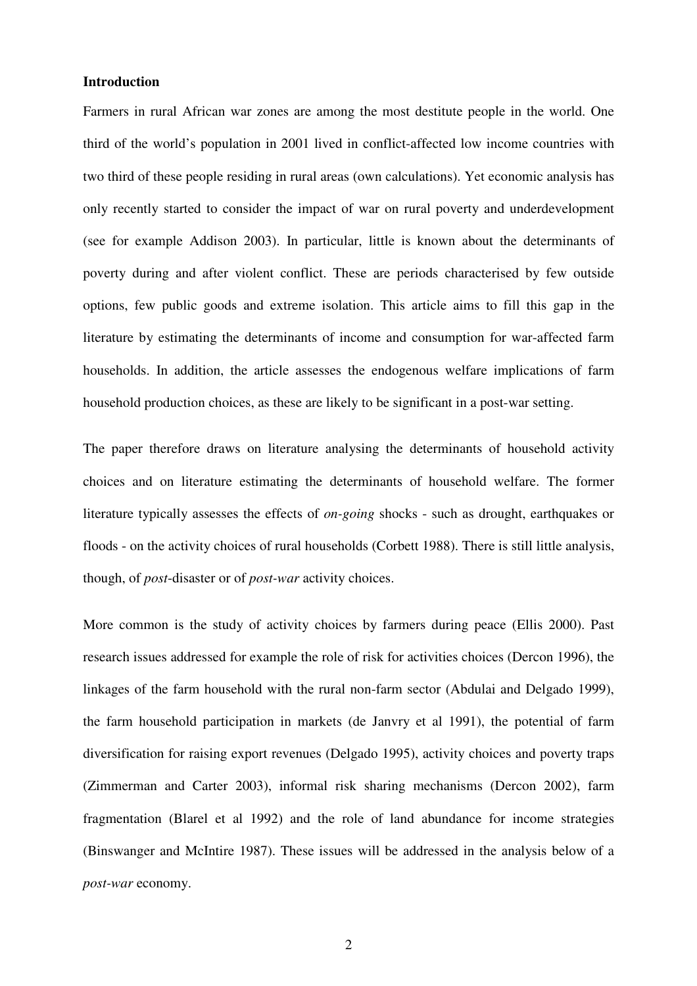#### **Introduction**

Farmers in rural African war zones are among the most destitute people in the world. One third of the world's population in 2001 lived in conflict-affected low income countries with two third of these people residing in rural areas (own calculations). Yet economic analysis has only recently started to consider the impact of war on rural poverty and underdevelopment (see for example Addison 2003). In particular, little is known about the determinants of poverty during and after violent conflict. These are periods characterised by few outside options, few public goods and extreme isolation. This article aims to fill this gap in the literature by estimating the determinants of income and consumption for war-affected farm households. In addition, the article assesses the endogenous welfare implications of farm household production choices, as these are likely to be significant in a post-war setting.

The paper therefore draws on literature analysing the determinants of household activity choices and on literature estimating the determinants of household welfare. The former literature typically assesses the effects of *on-going* shocks - such as drought, earthquakes or floods - on the activity choices of rural households (Corbett 1988). There is still little analysis, though, of *post*-disaster or of *post-war* activity choices.

More common is the study of activity choices by farmers during peace (Ellis 2000). Past research issues addressed for example the role of risk for activities choices (Dercon 1996), the linkages of the farm household with the rural non-farm sector (Abdulai and Delgado 1999), the farm household participation in markets (de Janvry et al 1991), the potential of farm diversification for raising export revenues (Delgado 1995), activity choices and poverty traps (Zimmerman and Carter 2003), informal risk sharing mechanisms (Dercon 2002), farm fragmentation (Blarel et al 1992) and the role of land abundance for income strategies (Binswanger and McIntire 1987). These issues will be addressed in the analysis below of a *post-war* economy.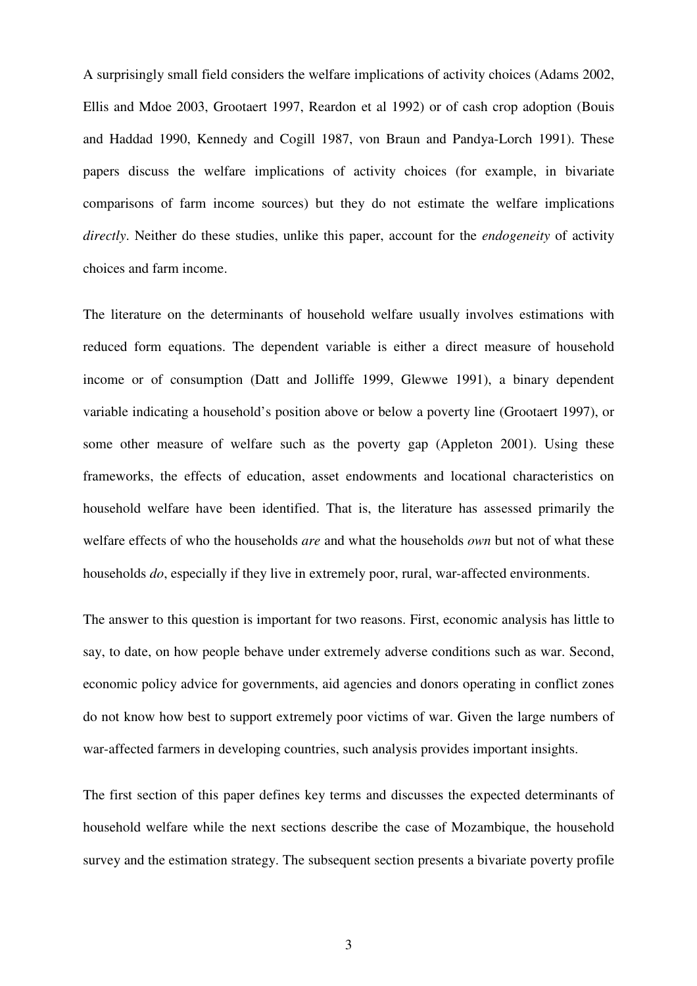A surprisingly small field considers the welfare implications of activity choices (Adams 2002, Ellis and Mdoe 2003, Grootaert 1997, Reardon et al 1992) or of cash crop adoption (Bouis and Haddad 1990, Kennedy and Cogill 1987, von Braun and Pandya-Lorch 1991). These papers discuss the welfare implications of activity choices (for example, in bivariate comparisons of farm income sources) but they do not estimate the welfare implications *directly*. Neither do these studies, unlike this paper, account for the *endogeneity* of activity choices and farm income.

The literature on the determinants of household welfare usually involves estimations with reduced form equations. The dependent variable is either a direct measure of household income or of consumption (Datt and Jolliffe 1999, Glewwe 1991), a binary dependent variable indicating a household's position above or below a poverty line (Grootaert 1997), or some other measure of welfare such as the poverty gap (Appleton 2001). Using these frameworks, the effects of education, asset endowments and locational characteristics on household welfare have been identified. That is, the literature has assessed primarily the welfare effects of who the households *are* and what the households *own* but not of what these households *do*, especially if they live in extremely poor, rural, war-affected environments.

The answer to this question is important for two reasons. First, economic analysis has little to say, to date, on how people behave under extremely adverse conditions such as war. Second, economic policy advice for governments, aid agencies and donors operating in conflict zones do not know how best to support extremely poor victims of war. Given the large numbers of war-affected farmers in developing countries, such analysis provides important insights.

The first section of this paper defines key terms and discusses the expected determinants of household welfare while the next sections describe the case of Mozambique, the household survey and the estimation strategy. The subsequent section presents a bivariate poverty profile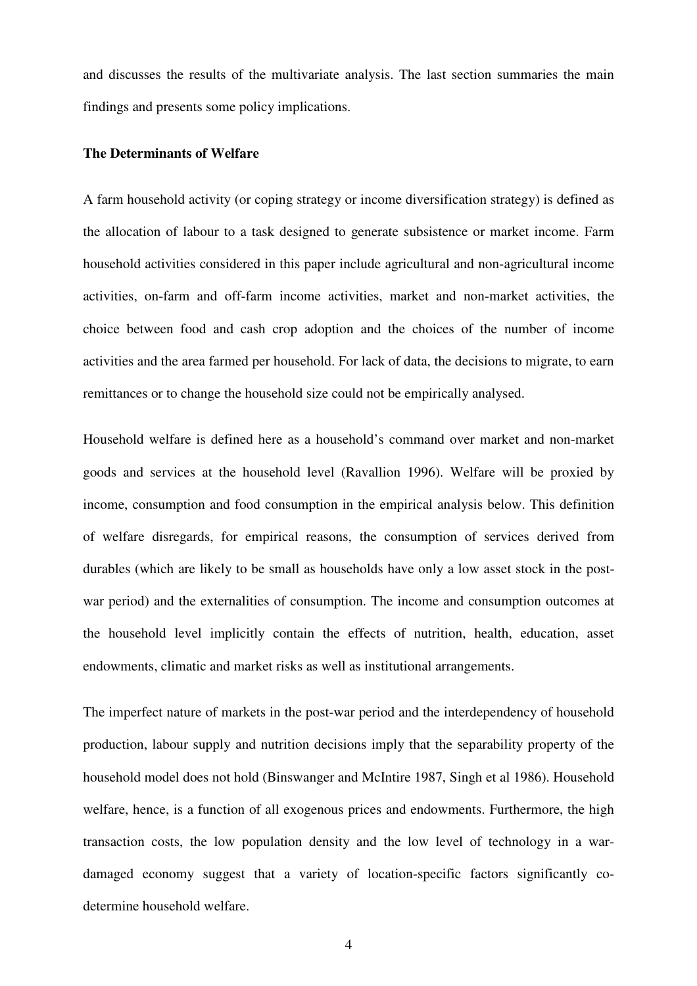and discusses the results of the multivariate analysis. The last section summaries the main findings and presents some policy implications.

#### **The Determinants of Welfare**

A farm household activity (or coping strategy or income diversification strategy) is defined as the allocation of labour to a task designed to generate subsistence or market income. Farm household activities considered in this paper include agricultural and non-agricultural income activities, on-farm and off-farm income activities, market and non-market activities, the choice between food and cash crop adoption and the choices of the number of income activities and the area farmed per household. For lack of data, the decisions to migrate, to earn remittances or to change the household size could not be empirically analysed.

Household welfare is defined here as a household's command over market and non-market goods and services at the household level (Ravallion 1996). Welfare will be proxied by income, consumption and food consumption in the empirical analysis below. This definition of welfare disregards, for empirical reasons, the consumption of services derived from durables (which are likely to be small as households have only a low asset stock in the postwar period) and the externalities of consumption. The income and consumption outcomes at the household level implicitly contain the effects of nutrition, health, education, asset endowments, climatic and market risks as well as institutional arrangements.

The imperfect nature of markets in the post-war period and the interdependency of household production, labour supply and nutrition decisions imply that the separability property of the household model does not hold (Binswanger and McIntire 1987, Singh et al 1986). Household welfare, hence, is a function of all exogenous prices and endowments. Furthermore, the high transaction costs, the low population density and the low level of technology in a wardamaged economy suggest that a variety of location-specific factors significantly codetermine household welfare.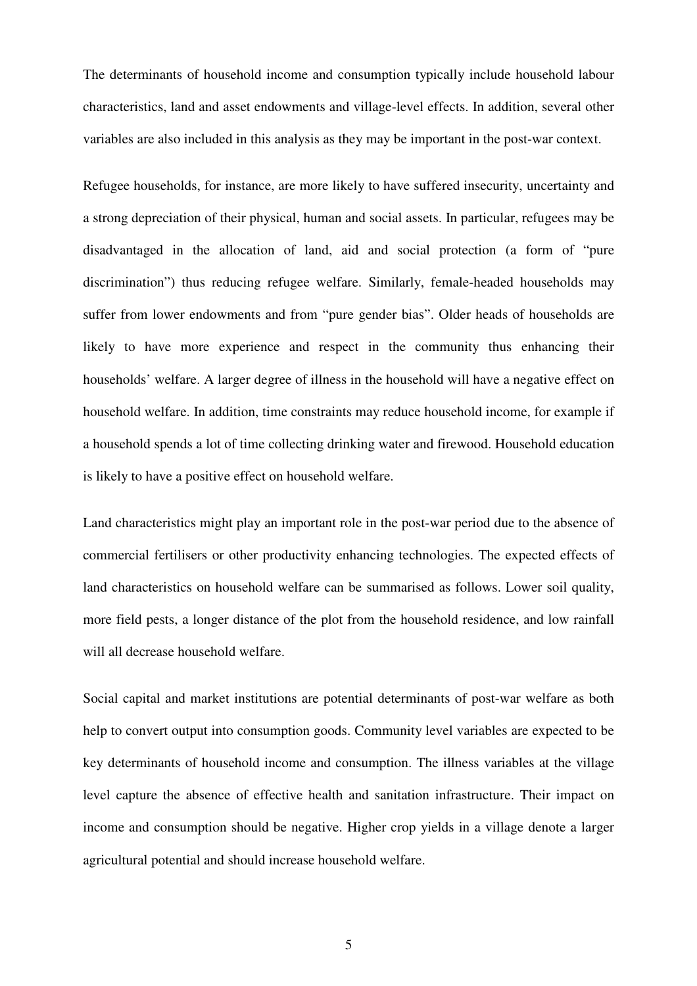The determinants of household income and consumption typically include household labour characteristics, land and asset endowments and village-level effects. In addition, several other variables are also included in this analysis as they may be important in the post-war context.

Refugee households, for instance, are more likely to have suffered insecurity, uncertainty and a strong depreciation of their physical, human and social assets. In particular, refugees may be disadvantaged in the allocation of land, aid and social protection (a form of "pure discrimination") thus reducing refugee welfare. Similarly, female-headed households may suffer from lower endowments and from "pure gender bias". Older heads of households are likely to have more experience and respect in the community thus enhancing their households' welfare. A larger degree of illness in the household will have a negative effect on household welfare. In addition, time constraints may reduce household income, for example if a household spends a lot of time collecting drinking water and firewood. Household education is likely to have a positive effect on household welfare.

Land characteristics might play an important role in the post-war period due to the absence of commercial fertilisers or other productivity enhancing technologies. The expected effects of land characteristics on household welfare can be summarised as follows. Lower soil quality, more field pests, a longer distance of the plot from the household residence, and low rainfall will all decrease household welfare.

Social capital and market institutions are potential determinants of post-war welfare as both help to convert output into consumption goods. Community level variables are expected to be key determinants of household income and consumption. The illness variables at the village level capture the absence of effective health and sanitation infrastructure. Their impact on income and consumption should be negative. Higher crop yields in a village denote a larger agricultural potential and should increase household welfare.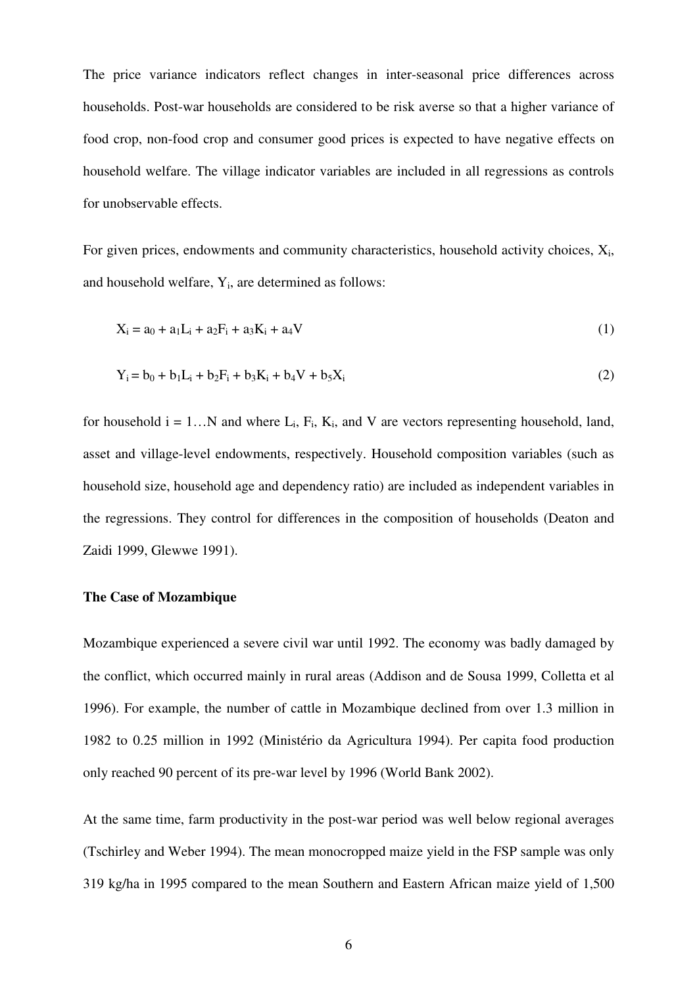The price variance indicators reflect changes in inter-seasonal price differences across households. Post-war households are considered to be risk averse so that a higher variance of food crop, non-food crop and consumer good prices is expected to have negative effects on household welfare. The village indicator variables are included in all regressions as controls for unobservable effects.

For given prices, endowments and community characteristics, household activity choices,  $X_i$ , and household welfare, Y<sub>i</sub>, are determined as follows:

$$
X_i = a_0 + a_1 L_i + a_2 F_i + a_3 K_i + a_4 V \tag{1}
$$

$$
Y_i = b_0 + b_1 L_i + b_2 F_i + b_3 K_i + b_4 V + b_5 X_i
$$
 (2)

for household  $i = 1...N$  and where  $L_i$ ,  $F_i$ ,  $K_i$ , and V are vectors representing household, land, asset and village-level endowments, respectively. Household composition variables (such as household size, household age and dependency ratio) are included as independent variables in the regressions. They control for differences in the composition of households (Deaton and Zaidi 1999, Glewwe 1991).

#### **The Case of Mozambique**

Mozambique experienced a severe civil war until 1992. The economy was badly damaged by the conflict, which occurred mainly in rural areas (Addison and de Sousa 1999, Colletta et al 1996). For example, the number of cattle in Mozambique declined from over 1.3 million in 1982 to 0.25 million in 1992 (Ministério da Agricultura 1994). Per capita food production only reached 90 percent of its pre-war level by 1996 (World Bank 2002).

At the same time, farm productivity in the post-war period was well below regional averages (Tschirley and Weber 1994). The mean monocropped maize yield in the FSP sample was only 319 kg/ha in 1995 compared to the mean Southern and Eastern African maize yield of 1,500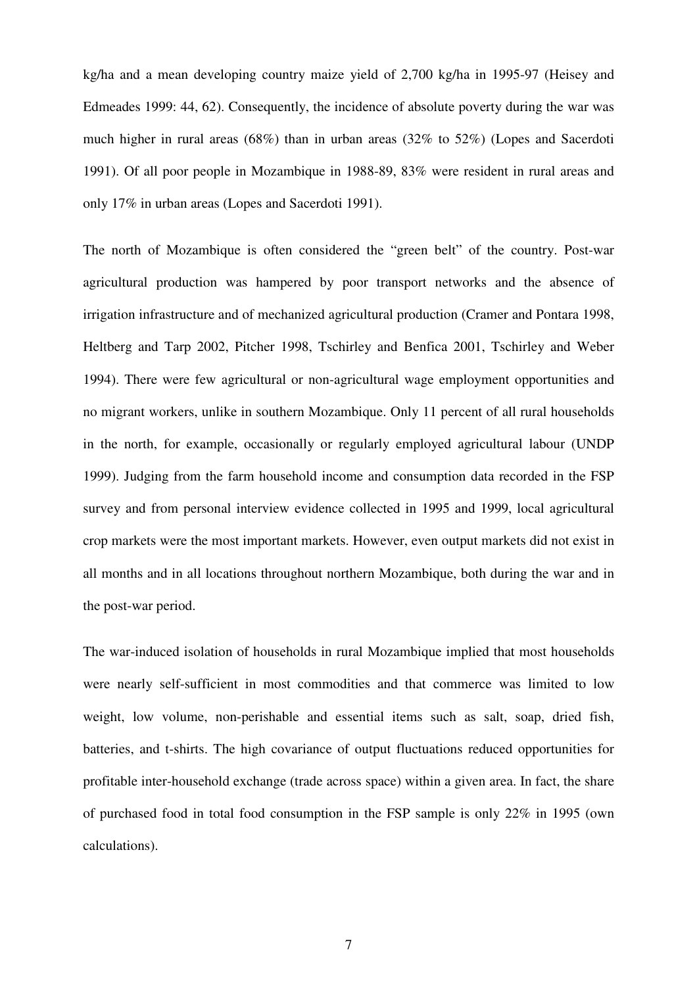kg/ha and a mean developing country maize yield of 2,700 kg/ha in 1995-97 (Heisey and Edmeades 1999: 44, 62). Consequently, the incidence of absolute poverty during the war was much higher in rural areas (68%) than in urban areas (32% to 52%) (Lopes and Sacerdoti 1991). Of all poor people in Mozambique in 1988-89, 83% were resident in rural areas and only 17% in urban areas (Lopes and Sacerdoti 1991).

The north of Mozambique is often considered the "green belt" of the country. Post-war agricultural production was hampered by poor transport networks and the absence of irrigation infrastructure and of mechanized agricultural production (Cramer and Pontara 1998, Heltberg and Tarp 2002, Pitcher 1998, Tschirley and Benfica 2001, Tschirley and Weber 1994). There were few agricultural or non-agricultural wage employment opportunities and no migrant workers, unlike in southern Mozambique. Only 11 percent of all rural households in the north, for example, occasionally or regularly employed agricultural labour (UNDP 1999). Judging from the farm household income and consumption data recorded in the FSP survey and from personal interview evidence collected in 1995 and 1999, local agricultural crop markets were the most important markets. However, even output markets did not exist in all months and in all locations throughout northern Mozambique, both during the war and in the post-war period.

The war-induced isolation of households in rural Mozambique implied that most households were nearly self-sufficient in most commodities and that commerce was limited to low weight, low volume, non-perishable and essential items such as salt, soap, dried fish, batteries, and t-shirts. The high covariance of output fluctuations reduced opportunities for profitable inter-household exchange (trade across space) within a given area. In fact, the share of purchased food in total food consumption in the FSP sample is only 22% in 1995 (own calculations).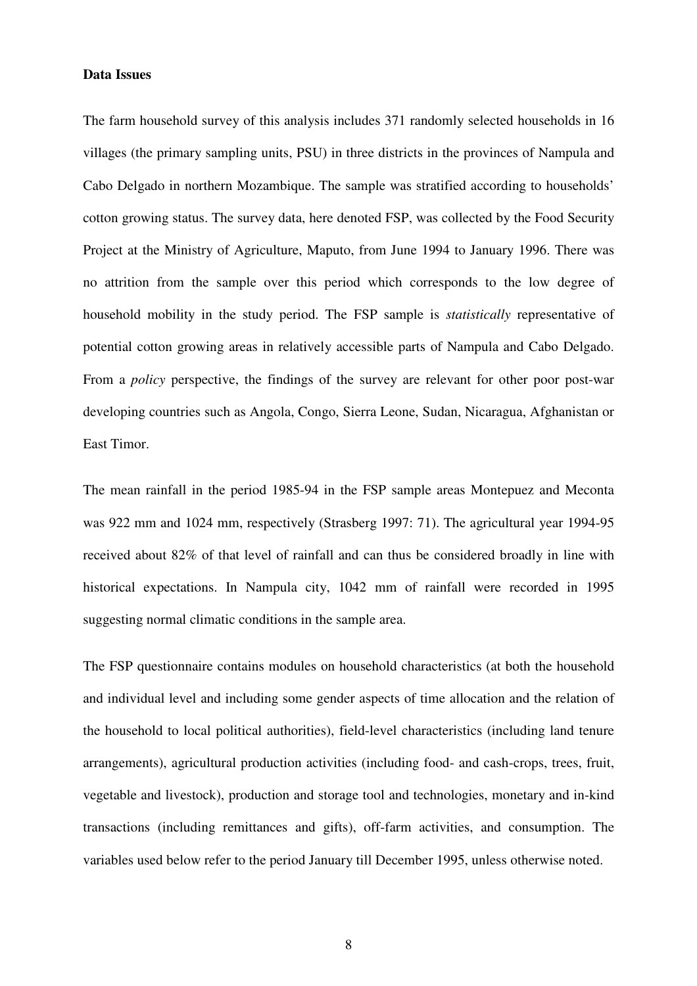#### **Data Issues**

The farm household survey of this analysis includes 371 randomly selected households in 16 villages (the primary sampling units, PSU) in three districts in the provinces of Nampula and Cabo Delgado in northern Mozambique. The sample was stratified according to households' cotton growing status. The survey data, here denoted FSP, was collected by the Food Security Project at the Ministry of Agriculture, Maputo, from June 1994 to January 1996. There was no attrition from the sample over this period which corresponds to the low degree of household mobility in the study period. The FSP sample is *statistically* representative of potential cotton growing areas in relatively accessible parts of Nampula and Cabo Delgado. From a *policy* perspective, the findings of the survey are relevant for other poor post-war developing countries such as Angola, Congo, Sierra Leone, Sudan, Nicaragua, Afghanistan or East Timor.

The mean rainfall in the period 1985-94 in the FSP sample areas Montepuez and Meconta was 922 mm and 1024 mm, respectively (Strasberg 1997: 71). The agricultural year 1994-95 received about 82% of that level of rainfall and can thus be considered broadly in line with historical expectations. In Nampula city, 1042 mm of rainfall were recorded in 1995 suggesting normal climatic conditions in the sample area.

The FSP questionnaire contains modules on household characteristics (at both the household and individual level and including some gender aspects of time allocation and the relation of the household to local political authorities), field-level characteristics (including land tenure arrangements), agricultural production activities (including food- and cash-crops, trees, fruit, vegetable and livestock), production and storage tool and technologies, monetary and in-kind transactions (including remittances and gifts), off-farm activities, and consumption. The variables used below refer to the period January till December 1995, unless otherwise noted.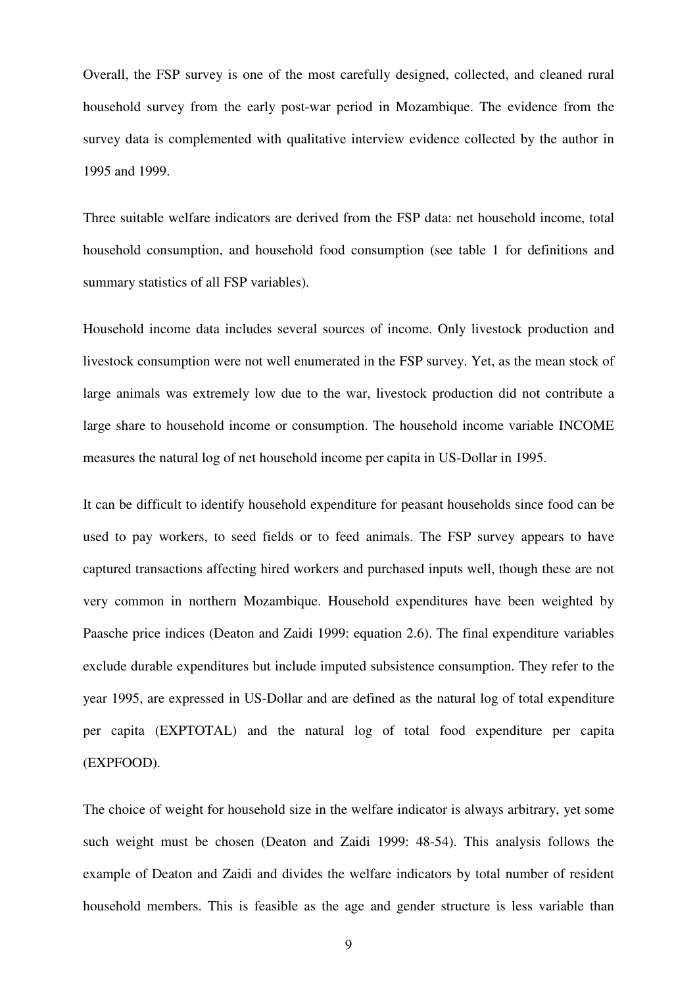Overall, the FSP survey is one of the most carefully designed, collected, and cleaned rural household survey from the early post-war period in Mozambique. The evidence from the survey data is complemented with qualitative interview evidence collected by the author in 1995 and 1999.

Three suitable welfare indicators are derived from the FSP data: net household income, total household consumption, and household food consumption (see table 1 for definitions and summary statistics of all FSP variables).

Household income data includes several sources of income. Only livestock production and livestock consumption were not well enumerated in the FSP survey. Yet, as the mean stock of large animals was extremely low due to the war, livestock production did not contribute a large share to household income or consumption. The household income variable INCOME measures the natural log of net household income per capita in US-Dollar in 1995.

It can be difficult to identify household expenditure for peasant households since food can be used to pay workers, to seed fields or to feed animals. The FSP survey appears to have captured transactions affecting hired workers and purchased inputs well, though these are not very common in northern Mozambique. Household expenditures have been weighted by Paasche price indices (Deaton and Zaidi 1999: equation 2.6). The final expenditure variables exclude durable expenditures but include imputed subsistence consumption. They refer to the year 1995, are expressed in US-Dollar and are defined as the natural log of total expenditure per capita (EXPTOTAL) and the natural log of total food expenditure per capita (EXPFOOD).

The choice of weight for household size in the welfare indicator is always arbitrary, yet some such weight must be chosen (Deaton and Zaidi 1999: 48-54). This analysis follows the example of Deaton and Zaidi and divides the welfare indicators by total number of resident household members. This is feasible as the age and gender structure is less variable than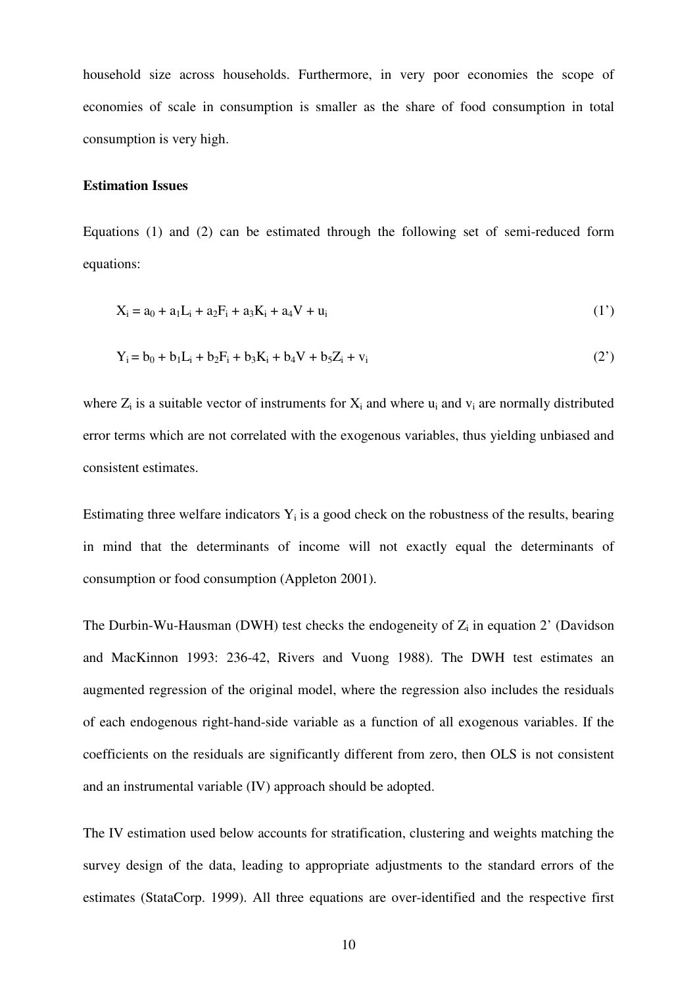household size across households. Furthermore, in very poor economies the scope of economies of scale in consumption is smaller as the share of food consumption in total consumption is very high.

#### **Estimation Issues**

Equations (1) and (2) can be estimated through the following set of semi-reduced form equations:

$$
X_i = a_0 + a_1 L_i + a_2 F_i + a_3 K_i + a_4 V + u_i
$$
\n(1')

$$
Y_i = b_0 + b_1 L_i + b_2 F_i + b_3 K_i + b_4 V + b_5 Z_i + v_i
$$
 (2')

where  $Z_i$  is a suitable vector of instruments for  $X_i$  and where  $u_i$  and  $v_i$  are normally distributed error terms which are not correlated with the exogenous variables, thus yielding unbiased and consistent estimates.

Estimating three welfare indicators  $Y_i$  is a good check on the robustness of the results, bearing in mind that the determinants of income will not exactly equal the determinants of consumption or food consumption (Appleton 2001).

The Durbin-Wu-Hausman (DWH) test checks the endogeneity of  $Z_i$  in equation 2' (Davidson and MacKinnon 1993: 236-42, Rivers and Vuong 1988). The DWH test estimates an augmented regression of the original model, where the regression also includes the residuals of each endogenous right-hand-side variable as a function of all exogenous variables. If the coefficients on the residuals are significantly different from zero, then OLS is not consistent and an instrumental variable (IV) approach should be adopted.

The IV estimation used below accounts for stratification, clustering and weights matching the survey design of the data, leading to appropriate adjustments to the standard errors of the estimates (StataCorp. 1999). All three equations are over-identified and the respective first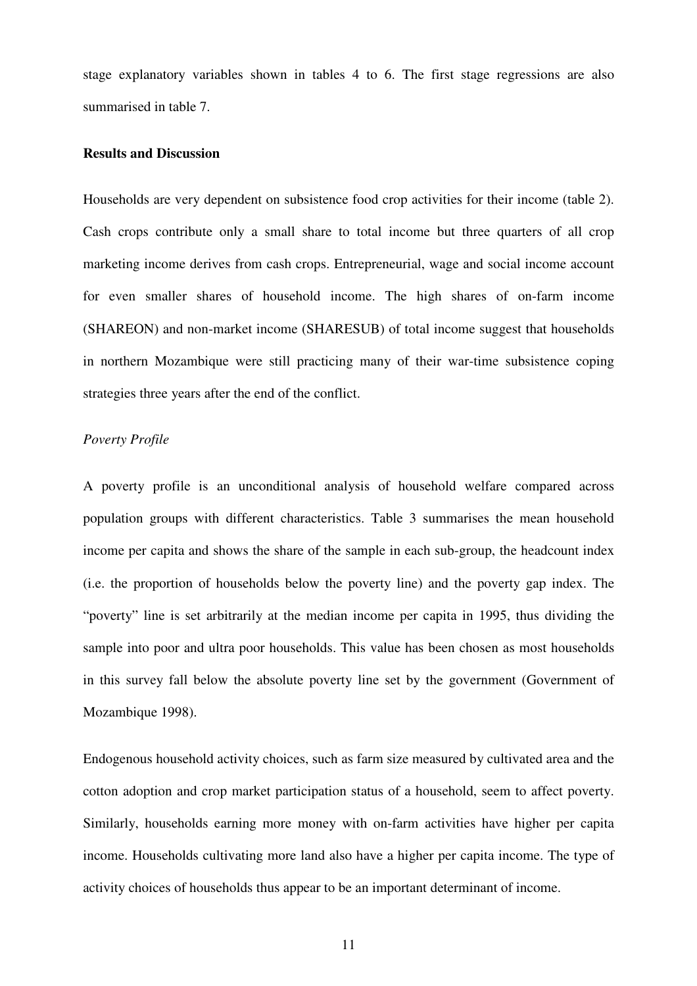stage explanatory variables shown in tables 4 to 6. The first stage regressions are also summarised in table 7.

#### **Results and Discussion**

Households are very dependent on subsistence food crop activities for their income (table 2). Cash crops contribute only a small share to total income but three quarters of all crop marketing income derives from cash crops. Entrepreneurial, wage and social income account for even smaller shares of household income. The high shares of on-farm income (SHAREON) and non-market income (SHARESUB) of total income suggest that households in northern Mozambique were still practicing many of their war-time subsistence coping strategies three years after the end of the conflict.

#### *Poverty Profile*

A poverty profile is an unconditional analysis of household welfare compared across population groups with different characteristics. Table 3 summarises the mean household income per capita and shows the share of the sample in each sub-group, the headcount index (i.e. the proportion of households below the poverty line) and the poverty gap index. The "poverty" line is set arbitrarily at the median income per capita in 1995, thus dividing the sample into poor and ultra poor households. This value has been chosen as most households in this survey fall below the absolute poverty line set by the government (Government of Mozambique 1998).

Endogenous household activity choices, such as farm size measured by cultivated area and the cotton adoption and crop market participation status of a household, seem to affect poverty. Similarly, households earning more money with on-farm activities have higher per capita income. Households cultivating more land also have a higher per capita income. The type of activity choices of households thus appear to be an important determinant of income.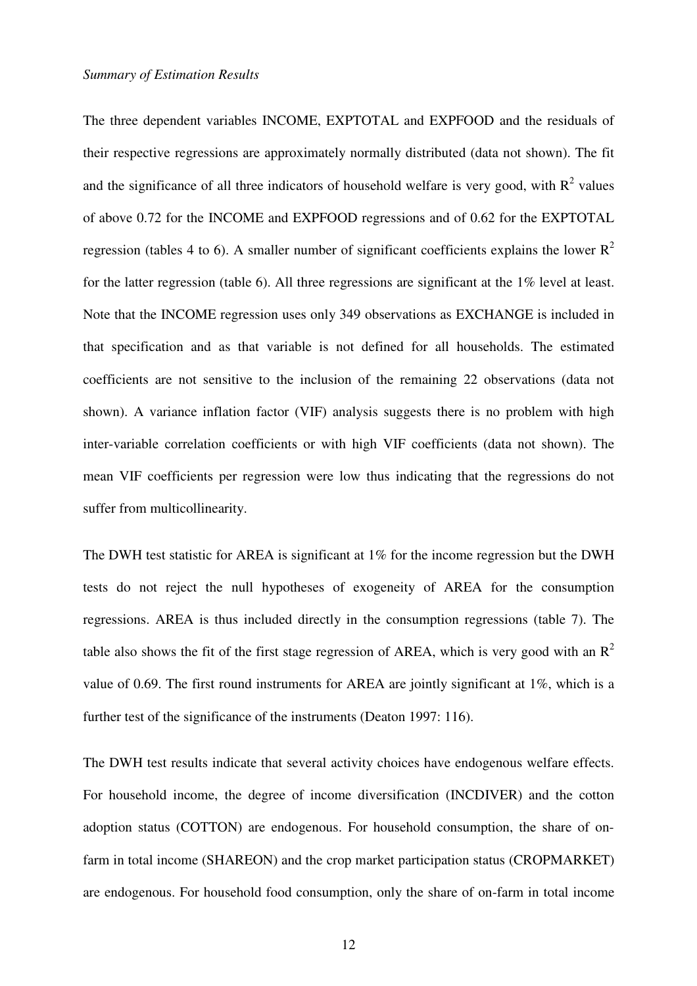#### *Summary of Estimation Results*

The three dependent variables INCOME, EXPTOTAL and EXPFOOD and the residuals of their respective regressions are approximately normally distributed (data not shown). The fit and the significance of all three indicators of household welfare is very good, with  $R^2$  values of above 0.72 for the INCOME and EXPFOOD regressions and of 0.62 for the EXPTOTAL regression (tables 4 to 6). A smaller number of significant coefficients explains the lower  $R^2$ for the latter regression (table 6). All three regressions are significant at the 1% level at least. Note that the INCOME regression uses only 349 observations as EXCHANGE is included in that specification and as that variable is not defined for all households. The estimated coefficients are not sensitive to the inclusion of the remaining 22 observations (data not shown). A variance inflation factor (VIF) analysis suggests there is no problem with high inter-variable correlation coefficients or with high VIF coefficients (data not shown). The mean VIF coefficients per regression were low thus indicating that the regressions do not suffer from multicollinearity.

The DWH test statistic for AREA is significant at 1% for the income regression but the DWH tests do not reject the null hypotheses of exogeneity of AREA for the consumption regressions. AREA is thus included directly in the consumption regressions (table 7). The table also shows the fit of the first stage regression of AREA, which is very good with an  $R^2$ value of 0.69. The first round instruments for AREA are jointly significant at 1%, which is a further test of the significance of the instruments (Deaton 1997: 116).

The DWH test results indicate that several activity choices have endogenous welfare effects. For household income, the degree of income diversification (INCDIVER) and the cotton adoption status (COTTON) are endogenous. For household consumption, the share of onfarm in total income (SHAREON) and the crop market participation status (CROPMARKET) are endogenous. For household food consumption, only the share of on-farm in total income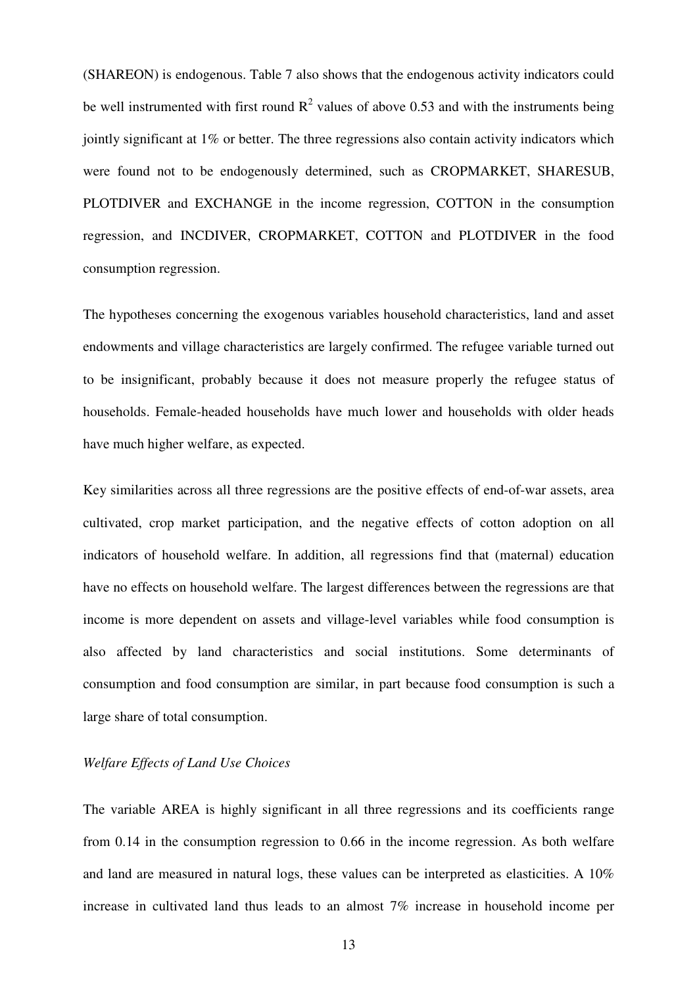(SHAREON) is endogenous. Table 7 also shows that the endogenous activity indicators could be well instrumented with first round  $R^2$  values of above 0.53 and with the instruments being jointly significant at 1% or better. The three regressions also contain activity indicators which were found not to be endogenously determined, such as CROPMARKET, SHARESUB, PLOTDIVER and EXCHANGE in the income regression, COTTON in the consumption regression, and INCDIVER, CROPMARKET, COTTON and PLOTDIVER in the food consumption regression.

The hypotheses concerning the exogenous variables household characteristics, land and asset endowments and village characteristics are largely confirmed. The refugee variable turned out to be insignificant, probably because it does not measure properly the refugee status of households. Female-headed households have much lower and households with older heads have much higher welfare, as expected.

Key similarities across all three regressions are the positive effects of end-of-war assets, area cultivated, crop market participation, and the negative effects of cotton adoption on all indicators of household welfare. In addition, all regressions find that (maternal) education have no effects on household welfare. The largest differences between the regressions are that income is more dependent on assets and village-level variables while food consumption is also affected by land characteristics and social institutions. Some determinants of consumption and food consumption are similar, in part because food consumption is such a large share of total consumption.

### *Welfare Effects of Land Use Choices*

The variable AREA is highly significant in all three regressions and its coefficients range from 0.14 in the consumption regression to 0.66 in the income regression. As both welfare and land are measured in natural logs, these values can be interpreted as elasticities. A 10% increase in cultivated land thus leads to an almost 7% increase in household income per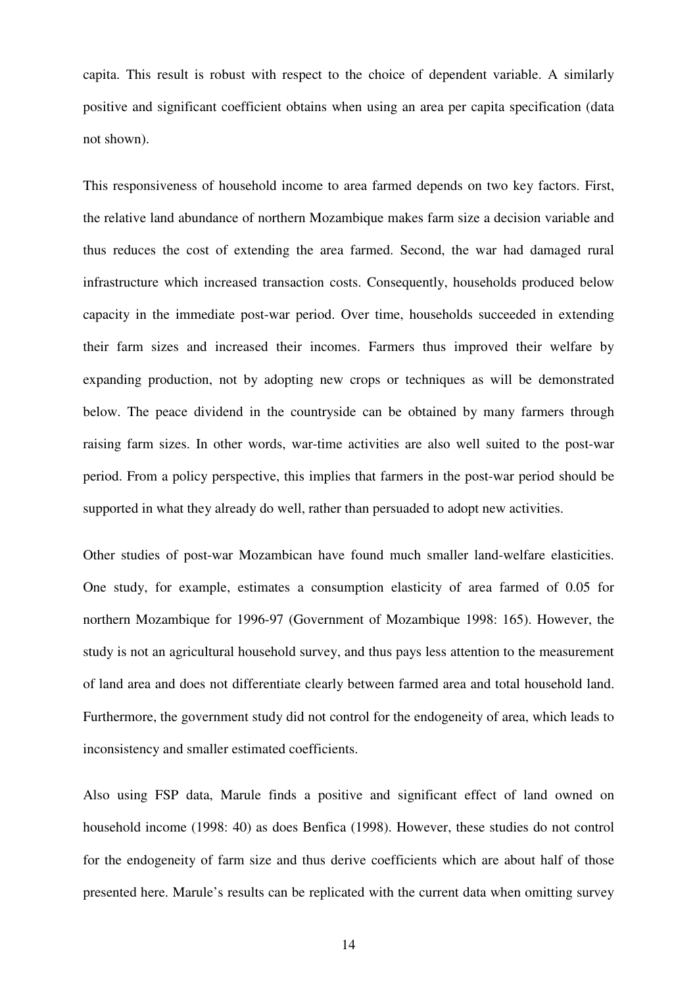capita. This result is robust with respect to the choice of dependent variable. A similarly positive and significant coefficient obtains when using an area per capita specification (data not shown).

This responsiveness of household income to area farmed depends on two key factors. First, the relative land abundance of northern Mozambique makes farm size a decision variable and thus reduces the cost of extending the area farmed. Second, the war had damaged rural infrastructure which increased transaction costs. Consequently, households produced below capacity in the immediate post-war period. Over time, households succeeded in extending their farm sizes and increased their incomes. Farmers thus improved their welfare by expanding production, not by adopting new crops or techniques as will be demonstrated below. The peace dividend in the countryside can be obtained by many farmers through raising farm sizes. In other words, war-time activities are also well suited to the post-war period. From a policy perspective, this implies that farmers in the post-war period should be supported in what they already do well, rather than persuaded to adopt new activities.

Other studies of post-war Mozambican have found much smaller land-welfare elasticities. One study, for example, estimates a consumption elasticity of area farmed of 0.05 for northern Mozambique for 1996-97 (Government of Mozambique 1998: 165). However, the study is not an agricultural household survey, and thus pays less attention to the measurement of land area and does not differentiate clearly between farmed area and total household land. Furthermore, the government study did not control for the endogeneity of area, which leads to inconsistency and smaller estimated coefficients.

Also using FSP data, Marule finds a positive and significant effect of land owned on household income (1998: 40) as does Benfica (1998). However, these studies do not control for the endogeneity of farm size and thus derive coefficients which are about half of those presented here. Marule's results can be replicated with the current data when omitting survey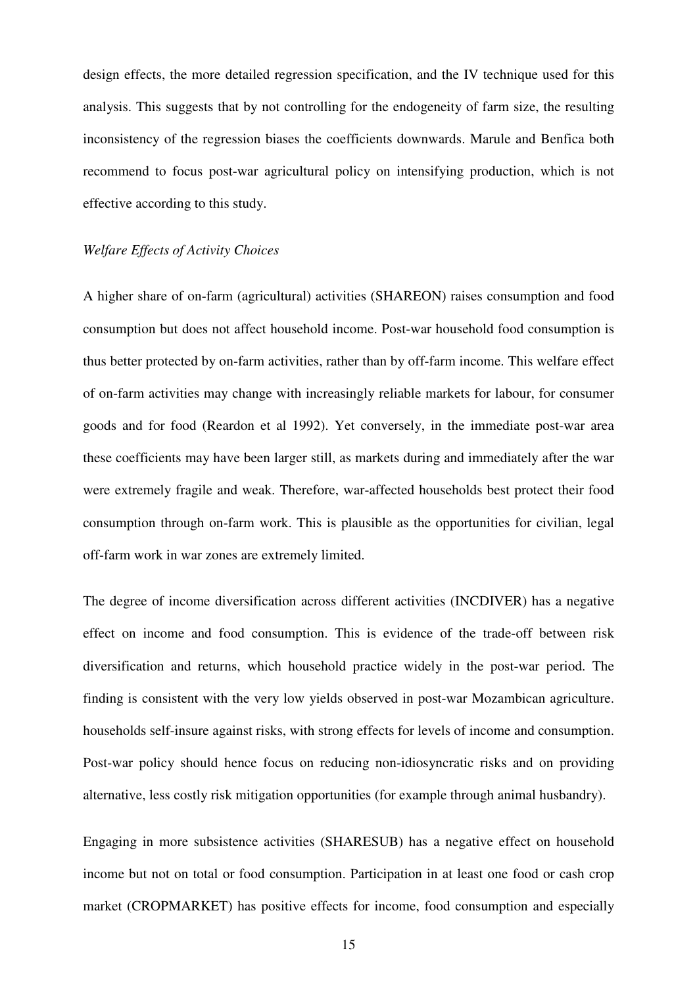design effects, the more detailed regression specification, and the IV technique used for this analysis. This suggests that by not controlling for the endogeneity of farm size, the resulting inconsistency of the regression biases the coefficients downwards. Marule and Benfica both recommend to focus post-war agricultural policy on intensifying production, which is not effective according to this study.

#### *Welfare Effects of Activity Choices*

A higher share of on-farm (agricultural) activities (SHAREON) raises consumption and food consumption but does not affect household income. Post-war household food consumption is thus better protected by on-farm activities, rather than by off-farm income. This welfare effect of on-farm activities may change with increasingly reliable markets for labour, for consumer goods and for food (Reardon et al 1992). Yet conversely, in the immediate post-war area these coefficients may have been larger still, as markets during and immediately after the war were extremely fragile and weak. Therefore, war-affected households best protect their food consumption through on-farm work. This is plausible as the opportunities for civilian, legal off-farm work in war zones are extremely limited.

The degree of income diversification across different activities (INCDIVER) has a negative effect on income and food consumption. This is evidence of the trade-off between risk diversification and returns, which household practice widely in the post-war period. The finding is consistent with the very low yields observed in post-war Mozambican agriculture. households self-insure against risks, with strong effects for levels of income and consumption. Post-war policy should hence focus on reducing non-idiosyncratic risks and on providing alternative, less costly risk mitigation opportunities (for example through animal husbandry).

Engaging in more subsistence activities (SHARESUB) has a negative effect on household income but not on total or food consumption. Participation in at least one food or cash crop market (CROPMARKET) has positive effects for income, food consumption and especially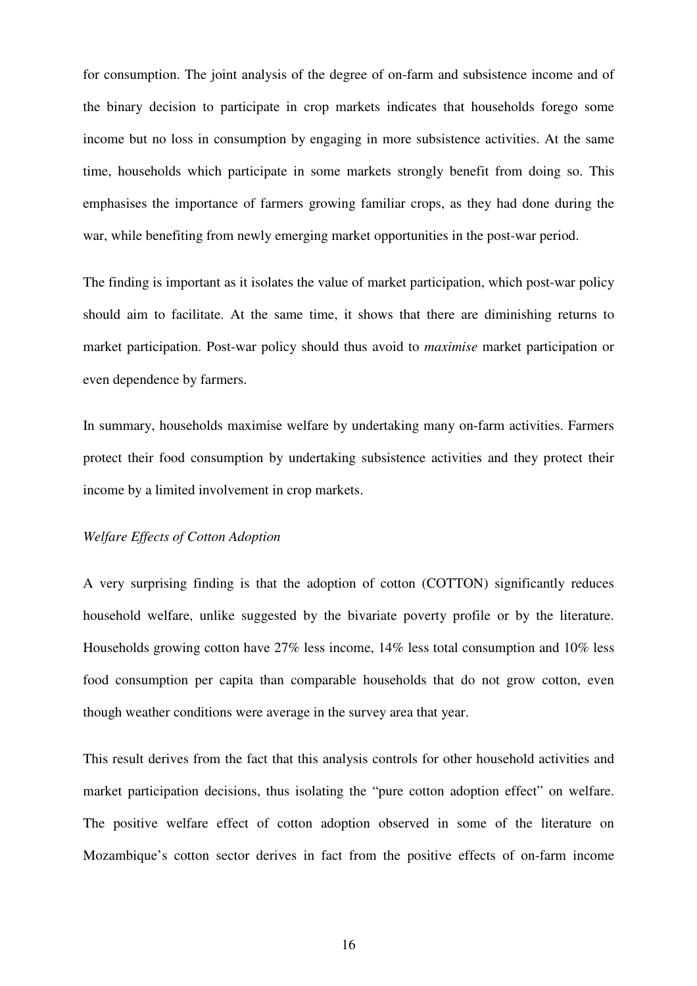for consumption. The joint analysis of the degree of on-farm and subsistence income and of the binary decision to participate in crop markets indicates that households forego some income but no loss in consumption by engaging in more subsistence activities. At the same time, households which participate in some markets strongly benefit from doing so. This emphasises the importance of farmers growing familiar crops, as they had done during the war, while benefiting from newly emerging market opportunities in the post-war period.

The finding is important as it isolates the value of market participation, which post-war policy should aim to facilitate. At the same time, it shows that there are diminishing returns to market participation. Post-war policy should thus avoid to *maximise* market participation or even dependence by farmers.

In summary, households maximise welfare by undertaking many on-farm activities. Farmers protect their food consumption by undertaking subsistence activities and they protect their income by a limited involvement in crop markets.

### *Welfare Effects of Cotton Adoption*

A very surprising finding is that the adoption of cotton (COTTON) significantly reduces household welfare, unlike suggested by the bivariate poverty profile or by the literature. Households growing cotton have 27% less income, 14% less total consumption and 10% less food consumption per capita than comparable households that do not grow cotton, even though weather conditions were average in the survey area that year.

This result derives from the fact that this analysis controls for other household activities and market participation decisions, thus isolating the "pure cotton adoption effect" on welfare. The positive welfare effect of cotton adoption observed in some of the literature on Mozambique's cotton sector derives in fact from the positive effects of on-farm income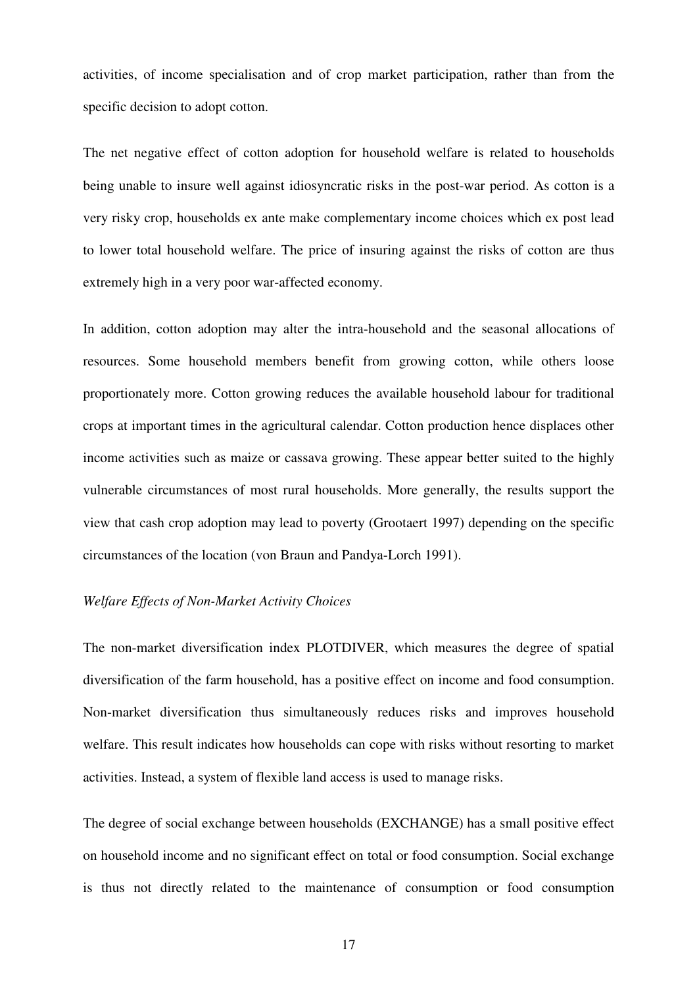activities, of income specialisation and of crop market participation, rather than from the specific decision to adopt cotton.

The net negative effect of cotton adoption for household welfare is related to households being unable to insure well against idiosyncratic risks in the post-war period. As cotton is a very risky crop, households ex ante make complementary income choices which ex post lead to lower total household welfare. The price of insuring against the risks of cotton are thus extremely high in a very poor war-affected economy.

In addition, cotton adoption may alter the intra-household and the seasonal allocations of resources. Some household members benefit from growing cotton, while others loose proportionately more. Cotton growing reduces the available household labour for traditional crops at important times in the agricultural calendar. Cotton production hence displaces other income activities such as maize or cassava growing. These appear better suited to the highly vulnerable circumstances of most rural households. More generally, the results support the view that cash crop adoption may lead to poverty (Grootaert 1997) depending on the specific circumstances of the location (von Braun and Pandya-Lorch 1991).

#### *Welfare Effects of Non-Market Activity Choices*

The non-market diversification index PLOTDIVER, which measures the degree of spatial diversification of the farm household, has a positive effect on income and food consumption. Non-market diversification thus simultaneously reduces risks and improves household welfare. This result indicates how households can cope with risks without resorting to market activities. Instead, a system of flexible land access is used to manage risks.

The degree of social exchange between households (EXCHANGE) has a small positive effect on household income and no significant effect on total or food consumption. Social exchange is thus not directly related to the maintenance of consumption or food consumption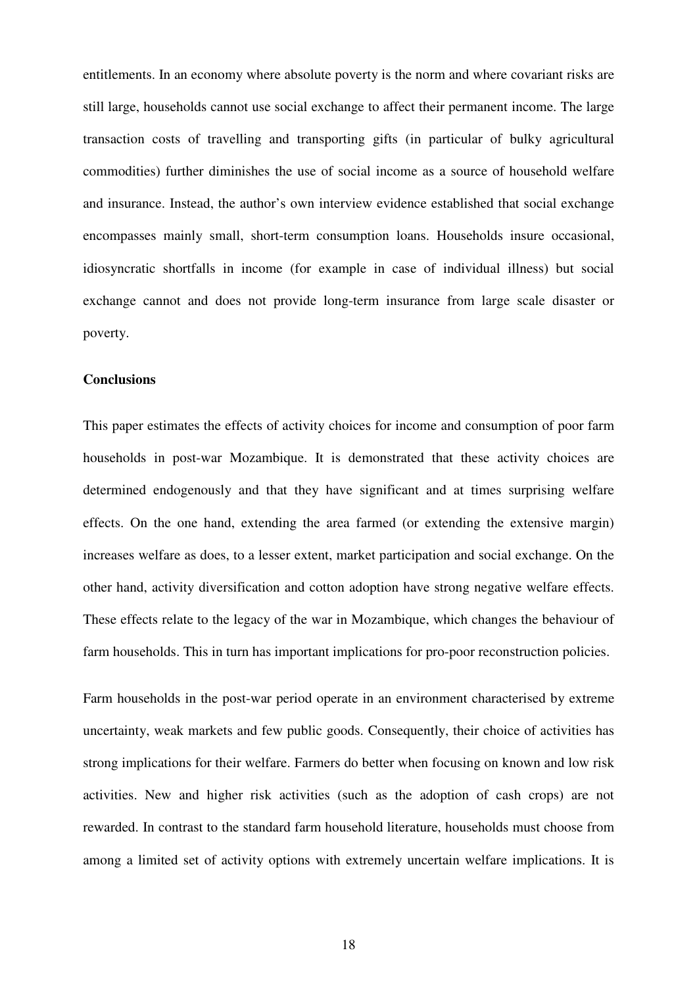entitlements. In an economy where absolute poverty is the norm and where covariant risks are still large, households cannot use social exchange to affect their permanent income. The large transaction costs of travelling and transporting gifts (in particular of bulky agricultural commodities) further diminishes the use of social income as a source of household welfare and insurance. Instead, the author's own interview evidence established that social exchange encompasses mainly small, short-term consumption loans. Households insure occasional, idiosyncratic shortfalls in income (for example in case of individual illness) but social exchange cannot and does not provide long-term insurance from large scale disaster or poverty.

#### **Conclusions**

This paper estimates the effects of activity choices for income and consumption of poor farm households in post-war Mozambique. It is demonstrated that these activity choices are determined endogenously and that they have significant and at times surprising welfare effects. On the one hand, extending the area farmed (or extending the extensive margin) increases welfare as does, to a lesser extent, market participation and social exchange. On the other hand, activity diversification and cotton adoption have strong negative welfare effects. These effects relate to the legacy of the war in Mozambique, which changes the behaviour of farm households. This in turn has important implications for pro-poor reconstruction policies.

Farm households in the post-war period operate in an environment characterised by extreme uncertainty, weak markets and few public goods. Consequently, their choice of activities has strong implications for their welfare. Farmers do better when focusing on known and low risk activities. New and higher risk activities (such as the adoption of cash crops) are not rewarded. In contrast to the standard farm household literature, households must choose from among a limited set of activity options with extremely uncertain welfare implications. It is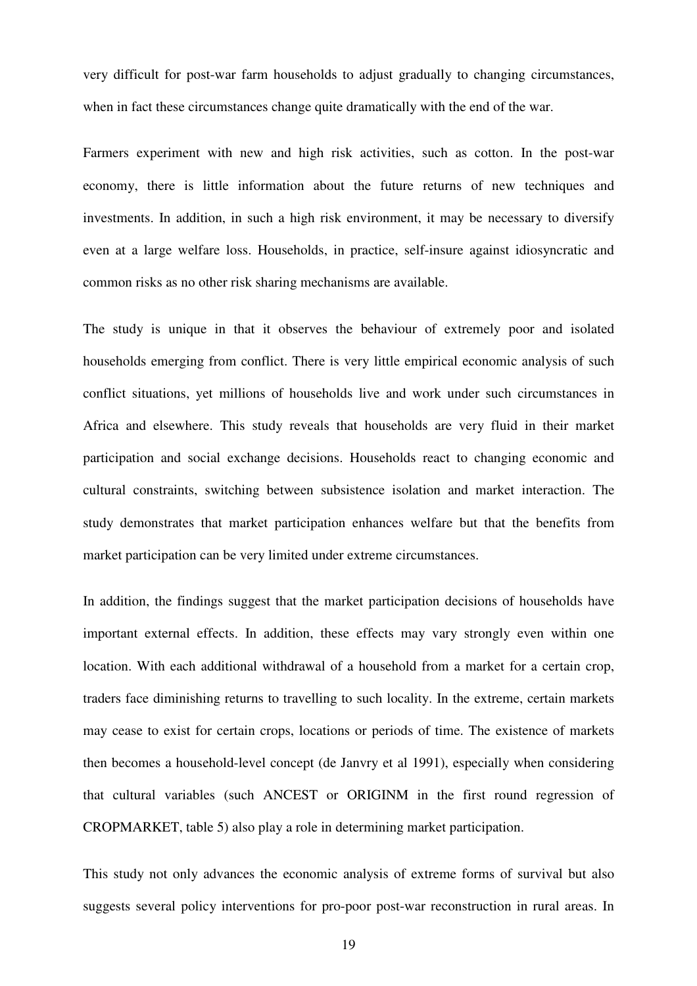very difficult for post-war farm households to adjust gradually to changing circumstances, when in fact these circumstances change quite dramatically with the end of the war.

Farmers experiment with new and high risk activities, such as cotton. In the post-war economy, there is little information about the future returns of new techniques and investments. In addition, in such a high risk environment, it may be necessary to diversify even at a large welfare loss. Households, in practice, self-insure against idiosyncratic and common risks as no other risk sharing mechanisms are available.

The study is unique in that it observes the behaviour of extremely poor and isolated households emerging from conflict. There is very little empirical economic analysis of such conflict situations, yet millions of households live and work under such circumstances in Africa and elsewhere. This study reveals that households are very fluid in their market participation and social exchange decisions. Households react to changing economic and cultural constraints, switching between subsistence isolation and market interaction. The study demonstrates that market participation enhances welfare but that the benefits from market participation can be very limited under extreme circumstances.

In addition, the findings suggest that the market participation decisions of households have important external effects. In addition, these effects may vary strongly even within one location. With each additional withdrawal of a household from a market for a certain crop, traders face diminishing returns to travelling to such locality. In the extreme, certain markets may cease to exist for certain crops, locations or periods of time. The existence of markets then becomes a household-level concept (de Janvry et al 1991), especially when considering that cultural variables (such ANCEST or ORIGINM in the first round regression of CROPMARKET, table 5) also play a role in determining market participation.

This study not only advances the economic analysis of extreme forms of survival but also suggests several policy interventions for pro-poor post-war reconstruction in rural areas. In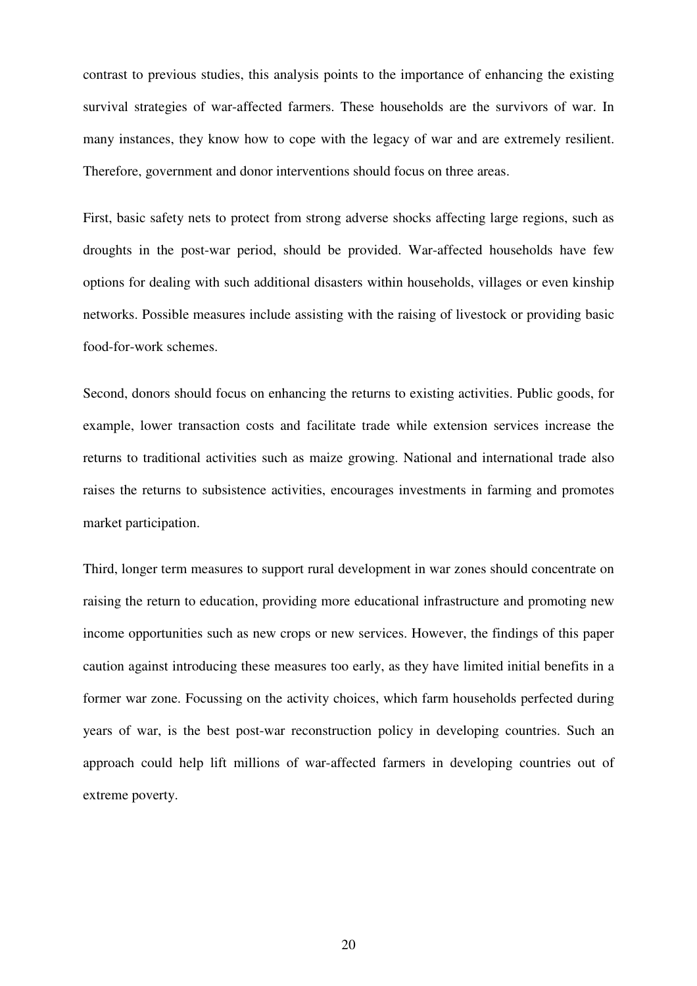contrast to previous studies, this analysis points to the importance of enhancing the existing survival strategies of war-affected farmers. These households are the survivors of war. In many instances, they know how to cope with the legacy of war and are extremely resilient. Therefore, government and donor interventions should focus on three areas.

First, basic safety nets to protect from strong adverse shocks affecting large regions, such as droughts in the post-war period, should be provided. War-affected households have few options for dealing with such additional disasters within households, villages or even kinship networks. Possible measures include assisting with the raising of livestock or providing basic food-for-work schemes.

Second, donors should focus on enhancing the returns to existing activities. Public goods, for example, lower transaction costs and facilitate trade while extension services increase the returns to traditional activities such as maize growing. National and international trade also raises the returns to subsistence activities, encourages investments in farming and promotes market participation.

Third, longer term measures to support rural development in war zones should concentrate on raising the return to education, providing more educational infrastructure and promoting new income opportunities such as new crops or new services. However, the findings of this paper caution against introducing these measures too early, as they have limited initial benefits in a former war zone. Focussing on the activity choices, which farm households perfected during years of war, is the best post-war reconstruction policy in developing countries. Such an approach could help lift millions of war-affected farmers in developing countries out of extreme poverty.

20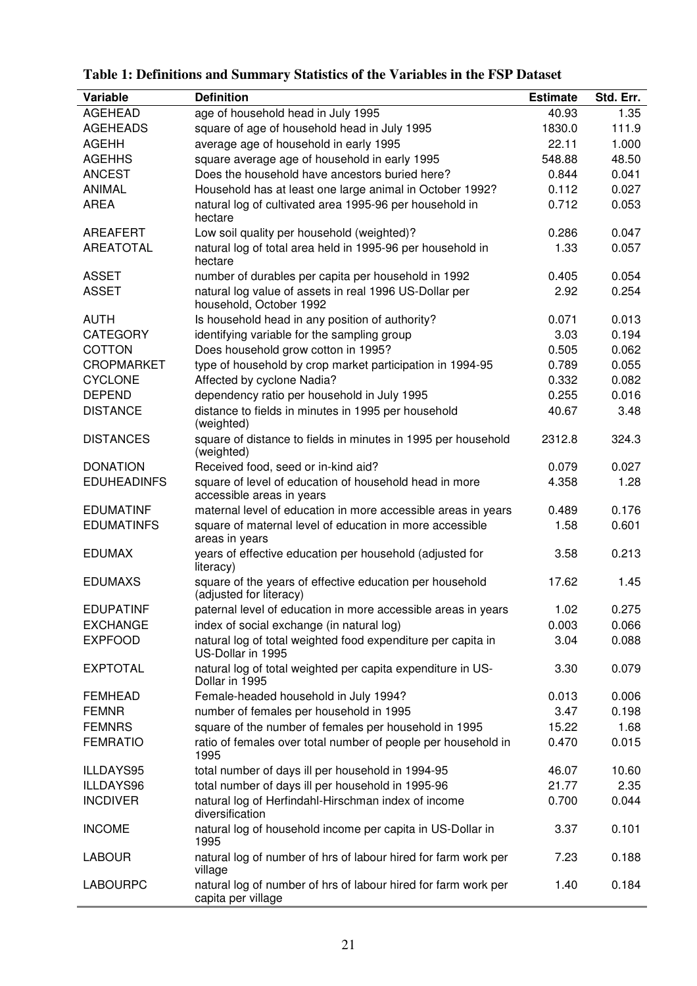| Variable           | <b>Definition</b>                                                                    | <b>Estimate</b> | Std. Err. |
|--------------------|--------------------------------------------------------------------------------------|-----------------|-----------|
| <b>AGEHEAD</b>     | age of household head in July 1995                                                   | 40.93           | 1.35      |
| <b>AGEHEADS</b>    | square of age of household head in July 1995                                         | 1830.0          | 111.9     |
| <b>AGEHH</b>       | average age of household in early 1995                                               | 22.11           | 1.000     |
| <b>AGEHHS</b>      | square average age of household in early 1995                                        | 548.88          | 48.50     |
| <b>ANCEST</b>      | Does the household have ancestors buried here?                                       | 0.844           | 0.041     |
| <b>ANIMAL</b>      | Household has at least one large animal in October 1992?                             | 0.112           | 0.027     |
| <b>AREA</b>        | natural log of cultivated area 1995-96 per household in<br>hectare                   | 0.712           | 0.053     |
| AREAFERT           | Low soil quality per household (weighted)?                                           | 0.286           | 0.047     |
| <b>AREATOTAL</b>   | natural log of total area held in 1995-96 per household in<br>hectare                | 1.33            | 0.057     |
| <b>ASSET</b>       | number of durables per capita per household in 1992                                  | 0.405           | 0.054     |
| <b>ASSET</b>       | natural log value of assets in real 1996 US-Dollar per<br>household, October 1992    | 2.92            | 0.254     |
| <b>AUTH</b>        | Is household head in any position of authority?                                      | 0.071           | 0.013     |
| <b>CATEGORY</b>    | identifying variable for the sampling group                                          | 3.03            | 0.194     |
| COTTON             | Does household grow cotton in 1995?                                                  | 0.505           | 0.062     |
| <b>CROPMARKET</b>  | type of household by crop market participation in 1994-95                            | 0.789           | 0.055     |
| <b>CYCLONE</b>     | Affected by cyclone Nadia?                                                           | 0.332           | 0.082     |
| <b>DEPEND</b>      | dependency ratio per household in July 1995                                          | 0.255           | 0.016     |
| <b>DISTANCE</b>    | distance to fields in minutes in 1995 per household<br>(weighted)                    | 40.67           | 3.48      |
| <b>DISTANCES</b>   | square of distance to fields in minutes in 1995 per household<br>(weighted)          | 2312.8          | 324.3     |
| <b>DONATION</b>    | Received food, seed or in-kind aid?                                                  | 0.079           | 0.027     |
| <b>EDUHEADINFS</b> | square of level of education of household head in more<br>accessible areas in years  | 4.358           | 1.28      |
| <b>EDUMATINF</b>   | maternal level of education in more accessible areas in years                        | 0.489           | 0.176     |
| <b>EDUMATINFS</b>  | square of maternal level of education in more accessible<br>areas in years           | 1.58            | 0.601     |
| <b>EDUMAX</b>      | years of effective education per household (adjusted for<br>literacy)                | 3.58            | 0.213     |
| <b>EDUMAXS</b>     | square of the years of effective education per household<br>(adjusted for literacy)  | 17.62           | 1.45      |
| <b>EDUPATINF</b>   | paternal level of education in more accessible areas in years                        | 1.02            | 0.275     |
| <b>EXCHANGE</b>    | index of social exchange (in natural log)                                            | 0.003           | 0.066     |
| <b>EXPFOOD</b>     | natural log of total weighted food expenditure per capita in<br>US-Dollar in 1995    | 3.04            | 0.088     |
| <b>EXPTOTAL</b>    | natural log of total weighted per capita expenditure in US-<br>Dollar in 1995        | 3.30            | 0.079     |
| <b>FEMHEAD</b>     | Female-headed household in July 1994?                                                | 0.013           | 0.006     |
| <b>FEMNR</b>       | number of females per household in 1995                                              | 3.47            | 0.198     |
| <b>FEMNRS</b>      | square of the number of females per household in 1995                                | 15.22           | 1.68      |
| <b>FEMRATIO</b>    | ratio of females over total number of people per household in<br>1995                | 0.470           | 0.015     |
| ILLDAYS95          | total number of days ill per household in 1994-95                                    | 46.07           | 10.60     |
| ILLDAYS96          | total number of days ill per household in 1995-96                                    | 21.77           | 2.35      |
| <b>INCDIVER</b>    | natural log of Herfindahl-Hirschman index of income<br>diversification               | 0.700           | 0.044     |
| <b>INCOME</b>      | natural log of household income per capita in US-Dollar in<br>1995                   | 3.37            | 0.101     |
| <b>LABOUR</b>      | natural log of number of hrs of labour hired for farm work per<br>village            | 7.23            | 0.188     |
| <b>LABOURPC</b>    | natural log of number of hrs of labour hired for farm work per<br>capita per village | 1.40            | 0.184     |

**Table 1: Definitions and Summary Statistics of the Variables in the FSP Dataset**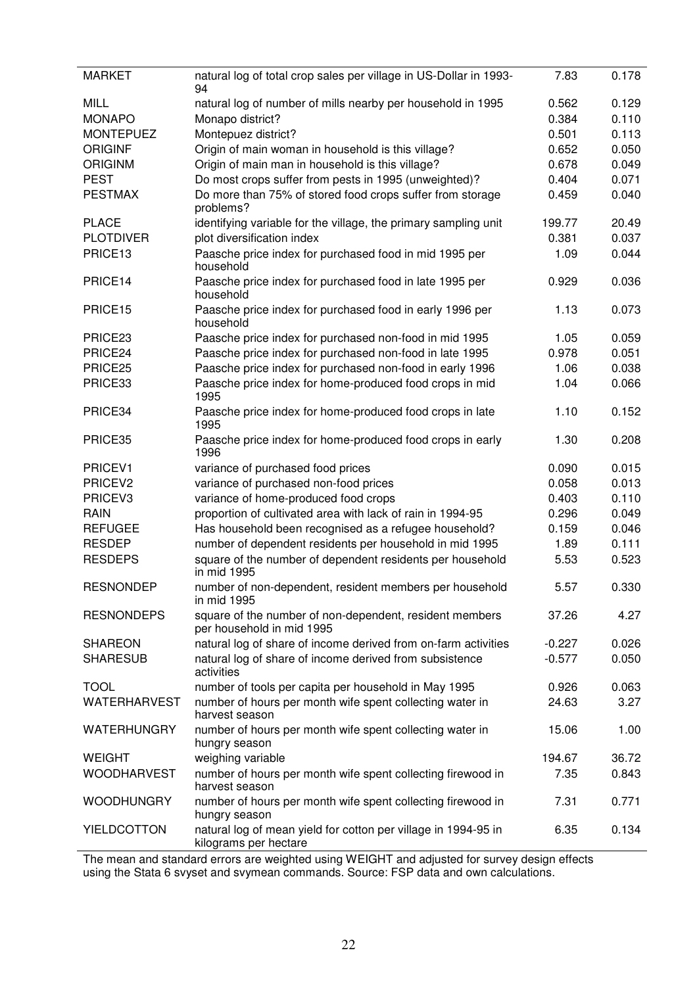| <b>MARKET</b>      | natural log of total crop sales per village in US-Dollar in 1993-<br>94                 | 7.83     | 0.178 |
|--------------------|-----------------------------------------------------------------------------------------|----------|-------|
| <b>MILL</b>        | natural log of number of mills nearby per household in 1995                             | 0.562    | 0.129 |
| <b>MONAPO</b>      | Monapo district?                                                                        | 0.384    | 0.110 |
| <b>MONTEPUEZ</b>   | Montepuez district?                                                                     | 0.501    | 0.113 |
| <b>ORIGINF</b>     | Origin of main woman in household is this village?                                      | 0.652    | 0.050 |
| <b>ORIGINM</b>     | Origin of main man in household is this village?                                        | 0.678    | 0.049 |
| <b>PEST</b>        | Do most crops suffer from pests in 1995 (unweighted)?                                   | 0.404    | 0.071 |
| <b>PESTMAX</b>     | Do more than 75% of stored food crops suffer from storage<br>problems?                  | 0.459    | 0.040 |
| <b>PLACE</b>       | identifying variable for the village, the primary sampling unit                         | 199.77   | 20.49 |
| <b>PLOTDIVER</b>   | plot diversification index                                                              | 0.381    | 0.037 |
| PRICE13            | Paasche price index for purchased food in mid 1995 per<br>household                     | 1.09     | 0.044 |
| PRICE14            | Paasche price index for purchased food in late 1995 per<br>household                    | 0.929    | 0.036 |
| PRICE15            | Paasche price index for purchased food in early 1996 per<br>household                   | 1.13     | 0.073 |
| PRICE23            | Paasche price index for purchased non-food in mid 1995                                  | 1.05     | 0.059 |
| PRICE24            | Paasche price index for purchased non-food in late 1995                                 | 0.978    | 0.051 |
| PRICE25            | Paasche price index for purchased non-food in early 1996                                | 1.06     | 0.038 |
| PRICE33            | Paasche price index for home-produced food crops in mid<br>1995                         | 1.04     | 0.066 |
| PRICE34            | Paasche price index for home-produced food crops in late<br>1995                        | 1.10     | 0.152 |
| PRICE35            | Paasche price index for home-produced food crops in early<br>1996                       | 1.30     | 0.208 |
| PRICEV1            | variance of purchased food prices                                                       | 0.090    | 0.015 |
| PRICEV2            | variance of purchased non-food prices                                                   | 0.058    | 0.013 |
| PRICEV3            | variance of home-produced food crops                                                    | 0.403    | 0.110 |
| <b>RAIN</b>        | proportion of cultivated area with lack of rain in 1994-95                              | 0.296    | 0.049 |
| <b>REFUGEE</b>     | Has household been recognised as a refugee household?                                   | 0.159    | 0.046 |
| <b>RESDEP</b>      | number of dependent residents per household in mid 1995                                 | 1.89     | 0.111 |
| <b>RESDEPS</b>     | square of the number of dependent residents per household<br>in mid 1995                | 5.53     | 0.523 |
| <b>RESNONDEP</b>   | number of non-dependent, resident members per household<br>in mid 1995                  | 5.57     | 0.330 |
| <b>RESNONDEPS</b>  | square of the number of non-dependent, resident members<br>per household in mid 1995    | 37.26    | 4.27  |
| <b>SHAREON</b>     | natural log of share of income derived from on-farm activities                          | $-0.227$ | 0.026 |
| <b>SHARESUB</b>    | natural log of share of income derived from subsistence<br>activities                   | $-0.577$ | 0.050 |
| <b>TOOL</b>        | number of tools per capita per household in May 1995                                    | 0.926    | 0.063 |
| WATERHARVEST       | number of hours per month wife spent collecting water in<br>harvest season              | 24.63    | 3.27  |
| <b>WATERHUNGRY</b> | number of hours per month wife spent collecting water in<br>hungry season               | 15.06    | 1.00  |
| <b>WEIGHT</b>      | weighing variable                                                                       | 194.67   | 36.72 |
| <b>WOODHARVEST</b> | number of hours per month wife spent collecting firewood in<br>harvest season           | 7.35     | 0.843 |
| <b>WOODHUNGRY</b>  | number of hours per month wife spent collecting firewood in<br>hungry season            | 7.31     | 0.771 |
| <b>YIELDCOTTON</b> | natural log of mean yield for cotton per village in 1994-95 in<br>kilograms per hectare | 6.35     | 0.134 |

j.

The mean and standard errors are weighted using WEIGHT and adjusted for survey design effects using the Stata 6 svyset and svymean commands. Source: FSP data and own calculations.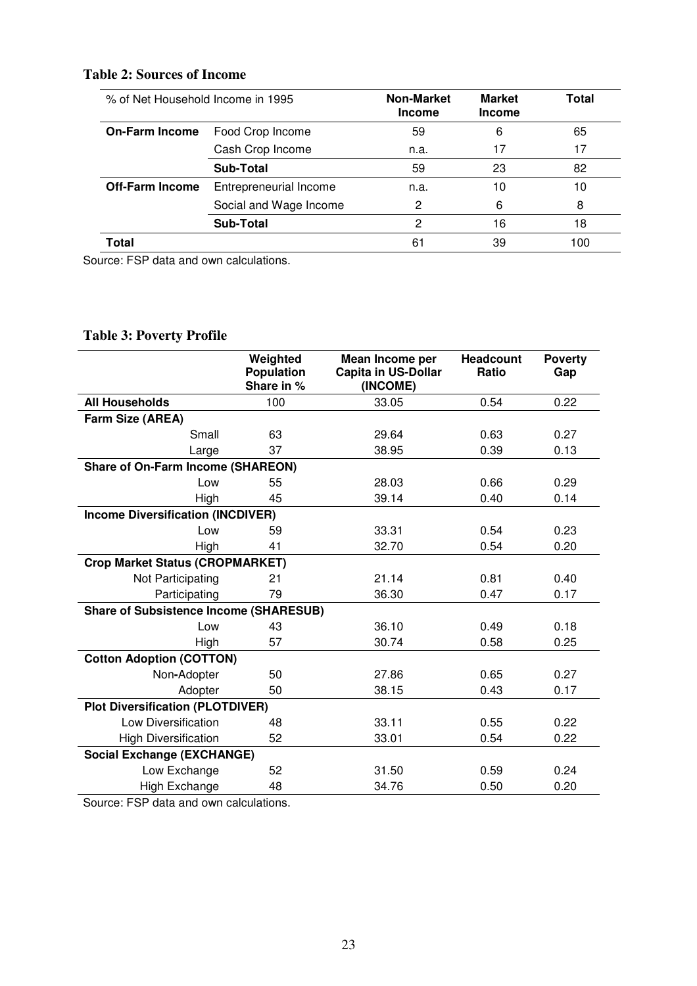# **Table 2: Sources of Income**

| % of Net Household Income in 1995 |                        | <b>Non-Market</b><br><b>Income</b> | <b>Market</b><br><b>Income</b> |     |
|-----------------------------------|------------------------|------------------------------------|--------------------------------|-----|
| <b>On-Farm Income</b>             | Food Crop Income       | 59                                 | 6                              | 65  |
|                                   | Cash Crop Income       | n.a.                               | 17                             | 17  |
|                                   | Sub-Total              | 59                                 | 23                             | 82  |
| <b>Off-Farm Income</b>            | Entrepreneurial Income | n.a.                               | 10                             | 10  |
|                                   | Social and Wage Income | 2                                  | 6                              | 8   |
|                                   | <b>Sub-Total</b>       | 2                                  | 16                             | 18  |
| Total                             |                        | 61                                 | 39                             | 100 |

Source: FSP data and own calculations.

# **Table 3: Poverty Profile**

|                                               | Weighted<br><b>Population</b><br>Share in % | Mean Income per<br><b>Capita in US-Dollar</b><br>(INCOME) | <b>Headcount</b><br>Ratio | <b>Poverty</b><br>Gap |
|-----------------------------------------------|---------------------------------------------|-----------------------------------------------------------|---------------------------|-----------------------|
| <b>All Households</b>                         | 100                                         | 33.05                                                     | 0.54                      | 0.22                  |
| Farm Size (AREA)                              |                                             |                                                           |                           |                       |
| Small                                         | 63                                          | 29.64                                                     | 0.63                      | 0.27                  |
| Large                                         | 37                                          | 38.95                                                     | 0.39                      | 0.13                  |
| <b>Share of On-Farm Income (SHAREON)</b>      |                                             |                                                           |                           |                       |
| Low                                           | 55                                          | 28.03                                                     | 0.66                      | 0.29                  |
| High                                          | 45                                          | 39.14                                                     | 0.40                      | 0.14                  |
| <b>Income Diversification (INCDIVER)</b>      |                                             |                                                           |                           |                       |
| Low                                           | 59                                          | 33.31                                                     | 0.54                      | 0.23                  |
| High                                          | 41                                          | 32.70                                                     | 0.54                      | 0.20                  |
| <b>Crop Market Status (CROPMARKET)</b>        |                                             |                                                           |                           |                       |
| Not Participating                             | 21                                          | 21.14                                                     | 0.81                      | 0.40                  |
| Participating                                 | 79                                          | 36.30                                                     | 0.47                      | 0.17                  |
| <b>Share of Subsistence Income (SHARESUB)</b> |                                             |                                                           |                           |                       |
| Low                                           | 43                                          | 36.10                                                     | 0.49                      | 0.18                  |
| High                                          | 57                                          | 30.74                                                     | 0.58                      | 0.25                  |
| <b>Cotton Adoption (COTTON)</b>               |                                             |                                                           |                           |                       |
| Non-Adopter                                   | 50                                          | 27.86                                                     | 0.65                      | 0.27                  |
| Adopter                                       | 50                                          | 38.15                                                     | 0.43                      | 0.17                  |
| <b>Plot Diversification (PLOTDIVER)</b>       |                                             |                                                           |                           |                       |
| Low Diversification                           | 48                                          | 33.11                                                     | 0.55                      | 0.22                  |
| <b>High Diversification</b>                   | 52                                          | 33.01                                                     | 0.54                      | 0.22                  |
| <b>Social Exchange (EXCHANGE)</b>             |                                             |                                                           |                           |                       |
| Low Exchange                                  | 52                                          | 31.50                                                     | 0.59                      | 0.24                  |
| High Exchange                                 | 48                                          | 34.76                                                     | 0.50                      | 0.20                  |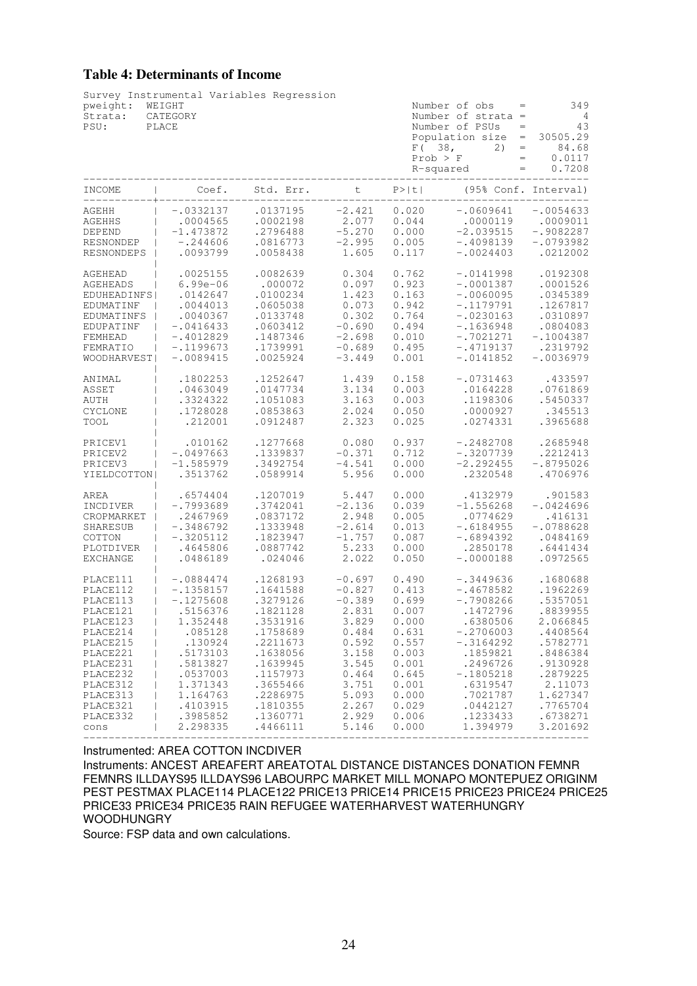# **Table 4: Determinants of Income**

| pweight:<br>Strata:<br>PSU: | Survey Instrumental Variables Regression<br>WEIGHT<br>CATEGORY<br>PLACE |           |          |        | Number of obs<br>$=$<br>Number of strata $=$<br>Number of PSUs<br>Population $size =$<br>F(38,<br>2)<br>$=$<br>$\equiv$<br>Prob > F<br>R-squared<br>$=$ | 349<br>- 4<br>43<br>$=$<br>30505.29<br>84.68<br>0.0117<br>0.7208 |
|-----------------------------|-------------------------------------------------------------------------|-----------|----------|--------|---------------------------------------------------------------------------------------------------------------------------------------------------------|------------------------------------------------------------------|
| INCOME                      | Coef.                                                                   | Std. Err. | t        | P >  t |                                                                                                                                                         | (95% Conf. Interval)                                             |
| AGEHH                       | $-.0332137$                                                             | .0137195  | $-2.421$ | 0.020  | $-.0609641$                                                                                                                                             | $-.0054633$                                                      |
| <b>AGEHHS</b>               | .0004565                                                                | .0002198  | 2.077    | 0.044  | .0000119                                                                                                                                                | .0009011                                                         |
| DEPEND                      | $-1.473872$                                                             | .2796488  | $-5.270$ | 0.000  | $-2.039515$                                                                                                                                             | $-.9082287$                                                      |
| RESNONDEP                   | $-.244606$                                                              | .0816773  | $-2.995$ | 0.005  | $-.4098139$                                                                                                                                             | $-.0793982$                                                      |
| RESNONDEPS                  | .0093799                                                                | .0058438  | 1.605    | 0.117  | $-.0024403$                                                                                                                                             | .0212002                                                         |
| AGEHEAD                     | .0025155                                                                | .0082639  | 0.304    | 0.762  | $-.0141998$                                                                                                                                             | .0192308                                                         |
| AGEHEADS                    | $6.99e - 06$                                                            | .000072   | 0.097    | 0.923  | $-.0001387$                                                                                                                                             | .0001526                                                         |
| EDUHEADINFS                 | .0142647                                                                | .0100234  | 1.423    | 0.163  | $-.0060095$                                                                                                                                             | .0345389                                                         |
| EDUMATINF                   | .0044013                                                                | .0605038  | 0.073    | 0.942  | $-.1179791$                                                                                                                                             | .1267817                                                         |
| EDUMATINFS                  | .0040367                                                                | .0133748  | 0.302    | 0.764  | $-.0230163$                                                                                                                                             | .0310897                                                         |
| EDUPATINF                   | $-.0416433$                                                             | .0603412  | $-0.690$ | 0.494  | $-.1636948$                                                                                                                                             | .0804083                                                         |
| FEMHEAD                     | $-.4012829$                                                             | .1487346  | $-2.698$ | 0.010  | $-.7021271$                                                                                                                                             | $-.1004387$                                                      |
| FEMRATIO                    | $-.1199673$                                                             | .1739991  | $-0.689$ | 0.495  | $-.4719137$                                                                                                                                             | .2319792                                                         |
| <b>WOODHARVEST</b>          | $-.0089415$                                                             | .0025924  | $-3.449$ | 0.001  | $-.0141852$                                                                                                                                             | $-.0036979$                                                      |
| ANIMAL                      | .1802253                                                                | .1252647  | 1.439    | 0.158  | $-.0731463$                                                                                                                                             | .433597                                                          |
| ASSET                       | .0463049                                                                | .0147734  | 3.134    | 0.003  | .0164228                                                                                                                                                | .0761869                                                         |
| AUTH                        | .3324322                                                                | .1051083  | 3.163    | 0.003  | .1198306                                                                                                                                                | .5450337                                                         |
| CYCLONE                     | .1728028                                                                | .0853863  | 2.024    | 0.050  | .0000927                                                                                                                                                | .345513                                                          |
| TOOL                        | .212001                                                                 | .0912487  | 2.323    | 0.025  | .0274331                                                                                                                                                | .3965688                                                         |
| PRICEV1                     | .010162                                                                 | .1277668  | 0.080    | 0.937  | $-.2482708$                                                                                                                                             | .2685948                                                         |
| PRICEV2                     | $-.0497663$                                                             | .1339837  | $-0.371$ | 0.712  | $-.3207739$                                                                                                                                             | .2212413                                                         |
| PRICEV3                     | $-1.585979$                                                             | .3492754  | $-4.541$ | 0.000  | $-2.292455$                                                                                                                                             | $-.8795026$                                                      |
| YIELDCOTTON                 | .3513762                                                                | .0589914  | 5.956    | 0.000  | .2320548                                                                                                                                                | .4706976                                                         |
| AREA                        | .6574404                                                                | .1207019  | 5.447    | 0.000  | .4132979                                                                                                                                                | .901583                                                          |
| INCDIVER                    | $-.7993689$                                                             | .3742041  | $-2.136$ | 0.039  | $-1.556268$                                                                                                                                             | $-.0424696$                                                      |
| CROPMARKET                  | .2467969                                                                | .0837172  | 2.948    | 0.005  | .0774629                                                                                                                                                | .416131                                                          |
| SHARESUB                    | $-.3486792$                                                             | .1333948  | $-2.614$ | 0.013  | $-.6184955$                                                                                                                                             | $-.0788628$                                                      |
| COTTON                      | $-.3205112$                                                             | .1823947  | $-1.757$ | 0.087  | $-.6894392$                                                                                                                                             | .0484169                                                         |
| PLOTDIVER                   | .4645806                                                                | .0887742  | 5.233    | 0.000  | .2850178                                                                                                                                                | .6441434                                                         |
| <b>EXCHANGE</b>             | .0486189                                                                | .024046   | 2.022    | 0.050  | $-.0000188$                                                                                                                                             | .0972565                                                         |
| PLACE111                    | $-.0884474$                                                             | .1268193  | $-0.697$ | 0.490  | $-.3449636$                                                                                                                                             | .1680688                                                         |
| PLACE112                    | $-.1358157$                                                             | .1641588  | $-0.827$ | 0.413  | $-.4678582$                                                                                                                                             | .1962269                                                         |
| PLACE113                    | $-.1275608$                                                             | .3279126  | $-0.389$ | 0.699  | $-.7908266$                                                                                                                                             | .5357051                                                         |
| PLACE121                    | .5156376                                                                | .1821128  | 2.831    | 0.007  | .1472796                                                                                                                                                | .8839955                                                         |
| PLACE123                    | 1.352448                                                                | .3531916  | 3.829    | 0.000  | .6380506                                                                                                                                                | 2.066845                                                         |
| PLACE214                    | .085128                                                                 | .1758689  | 0.484    | 0.631  | $-.2706003$                                                                                                                                             | .4408564                                                         |
| PLACE215                    | .130924                                                                 | .2211673  | 0.592    | 0.557  | $-.3164292$                                                                                                                                             | .5782771                                                         |
| PLACE221                    | .5173103                                                                | .1638056  | 3.158    | 0.003  | .1859821                                                                                                                                                | .8486384                                                         |
| PLACE231                    | .5813827                                                                | .1639945  | 3.545    | 0.001  | .2496726                                                                                                                                                | .9130928                                                         |
| PLACE232                    | .0537003                                                                | .1157973  | 0.464    | 0.645  | $-.1805218$                                                                                                                                             | .2879225                                                         |
| PLACE312                    | 1.371343                                                                | .3655466  | 3.751    | 0.001  | .6319547                                                                                                                                                | 2.11073                                                          |
| PLACE313                    | 1.164763                                                                | .2286975  | 5.093    | 0.000  | .7021787                                                                                                                                                | 1.627347                                                         |
| PLACE321                    | .4103915                                                                | .1810355  | 2.267    | 0.029  | .0442127                                                                                                                                                | .7765704                                                         |
| PLACE332                    | .3985852                                                                | .1360771  | 2.929    | 0.006  | .1233433                                                                                                                                                | .6738271                                                         |
| cons                        | 2.298335                                                                | .4466111  | 5.146    | 0.000  | 1.394979                                                                                                                                                | 3.201692                                                         |

Instrumented: AREA COTTON INCDIVER

Instruments: ANCEST AREAFERT AREATOTAL DISTANCE DISTANCES DONATION FEMNR FEMNRS ILLDAYS95 ILLDAYS96 LABOURPC MARKET MILL MONAPO MONTEPUEZ ORIGINM PEST PESTMAX PLACE114 PLACE122 PRICE13 PRICE14 PRICE15 PRICE23 PRICE24 PRICE25 PRICE33 PRICE34 PRICE35 RAIN REFUGEE WATERHARVEST WATERHUNGRY WOODHUNGRY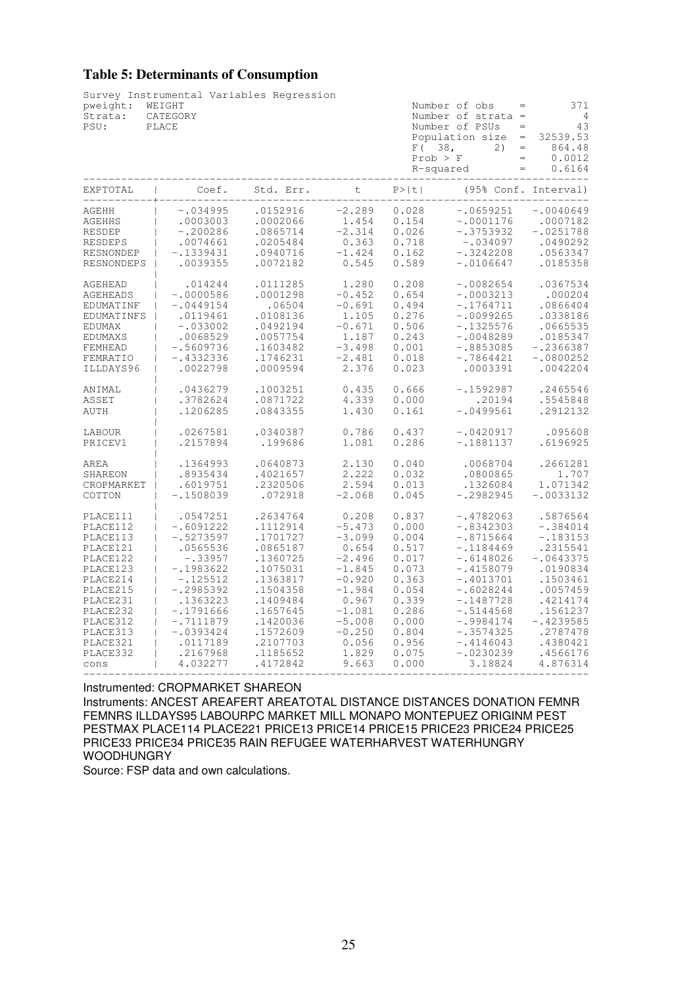## **Table 5: Determinants of Consumption**

| pweight:<br>Strata:<br>PSU: | Survey Instrumental Variables Regression<br>WEIGHT<br>CATEGORY<br>PLACE |           |          |        | Number of obs<br>Number of strata =<br>Number of PSUs<br>$=$<br>Population size<br>$\equiv$<br>F(38,<br>2)<br>$=$<br>Prob > F<br>$\equiv$<br>R-squared<br>$=$ | 371<br>$\overline{4}$<br>43<br>32539.53<br>864.48<br>0.0012<br>0.6164 |
|-----------------------------|-------------------------------------------------------------------------|-----------|----------|--------|---------------------------------------------------------------------------------------------------------------------------------------------------------------|-----------------------------------------------------------------------|
| EXPTOTAL                    | Coef.                                                                   | Std. Err. | t        | P >  t | (95% Conf.                                                                                                                                                    | Interval)                                                             |
| AGEHH                       | $-.034995$                                                              | .0152916  | $-2.289$ | 0.028  | $-.0659251$                                                                                                                                                   | $-.0040649$                                                           |
| <b>AGEHHS</b>               | .0003003                                                                | .0002066  | 1.454    | 0.154  | $-.0001176$                                                                                                                                                   | .0007182                                                              |
| <b>RESDEP</b>               | $-.200286$                                                              | .0865714  | $-2.314$ | 0.026  | $-.3753932$                                                                                                                                                   | $-.0251788$                                                           |
| <b>RESDEPS</b>              | .0074661                                                                | .0205484  | 0.363    | 0.718  | $-.034097$                                                                                                                                                    | .0490292                                                              |
| RESNONDEP                   | $-.1339431$                                                             | .0940716  | $-1.424$ | 0.162  | $-.3242208$                                                                                                                                                   | .0563347                                                              |
| <b>RESNONDEPS</b>           | .0039355                                                                | .0072182  | 0.545    | 0.589  | $-.0106647$                                                                                                                                                   | .0185358                                                              |
| AGEHEAD                     | .014244                                                                 | .0111285  | 1.280    | 0.208  | $-.0082654$                                                                                                                                                   | .0367534                                                              |
| AGEHEADS                    | $-.0000586$                                                             | .0001298  | $-0.452$ | 0.654  | $-.0003213$                                                                                                                                                   | .000204                                                               |
| EDUMATINF                   | $-.0449154$                                                             | .06504    | $-0.691$ | 0.494  | $-.1764711$                                                                                                                                                   | .0866404                                                              |
| EDUMATINFS                  | .0119461                                                                | .0108136  | 1.105    | 0.276  | $-.0099265$                                                                                                                                                   | .0338186                                                              |
| EDUMAX                      | $-.033002$                                                              | .0492194  | $-0.671$ | 0.506  | $-.1325576$                                                                                                                                                   | .0665535                                                              |
| EDUMAXS                     | .0068529                                                                | .0057754  | 1.187    | 0.243  | $-.0048289$                                                                                                                                                   | .0185347                                                              |
| FEMHEAD                     | $-.5609736$                                                             | .1603482  | $-3.498$ | 0.001  | $-.8853085$                                                                                                                                                   | $-.2366387$                                                           |
| FEMRATIO                    | $-.4332336$                                                             | .1746231  | $-2.481$ | 0.018  | $-.7864421$                                                                                                                                                   | $-.0800252$                                                           |
| ILLDAYS96                   | .0022798                                                                | .0009594  | 2.376    | 0.023  | .0003391                                                                                                                                                      | .0042204                                                              |
| ANIMAL                      | .0436279                                                                | .1003251  | 0.435    | 0.666  | $-.1592987$                                                                                                                                                   | .2465546                                                              |
| ASSET                       | .3782624                                                                | .0871722  | 4.339    | 0.000  | .20194                                                                                                                                                        | .5545848                                                              |
| AUTH                        | .1206285                                                                | .0843355  | 1.430    | 0.161  | $-.0499561$                                                                                                                                                   | .2912132                                                              |
| LABOUR                      | .0267581                                                                | .0340387  | 0.786    | 0.437  | $-.0420917$                                                                                                                                                   | .095608                                                               |
| PRICEV1                     | .2157894                                                                | .199686   | 1.081    | 0.286  | $-.1881137$                                                                                                                                                   | .6196925                                                              |
| AREA                        | .1364993                                                                | .0640873  | 2.130    | 0.040  | .0068704                                                                                                                                                      | .2661281                                                              |
| SHAREON                     | .8935434                                                                | .4021657  | 2.222    | 0.032  | .0800865                                                                                                                                                      | 1.707                                                                 |
| CROPMARKET                  | .6019751                                                                | .2320506  | 2.594    | 0.013  | .1326084                                                                                                                                                      | 1.071342                                                              |
| COTTON                      | $-.1508039$                                                             | .072918   | $-2.068$ | 0.045  | $-.2982945$                                                                                                                                                   | $-.0033132$                                                           |
| PLACE111                    | .0547251                                                                | .2634764  | 0.208    | 0.837  | $-.4782063$                                                                                                                                                   | .5876564                                                              |
| PLACE112                    | $-.6091222$                                                             | .1112914  | $-5.473$ | 0.000  | $-.8342303$                                                                                                                                                   | $-.384014$                                                            |
| PLACE113                    | $-.5273597$                                                             | .1701727  | $-3.099$ | 0.004  | $-.8715664$                                                                                                                                                   | $-.183153$                                                            |
| PLACE121                    | .0565536                                                                | .0865187  | 0.654    | 0.517  | $-.1184469$                                                                                                                                                   | .2315541                                                              |
| PLACE122                    | $-.33957$                                                               | .1360725  | $-2.496$ | 0.017  | $-.6148026$                                                                                                                                                   | $-.0643375$                                                           |
| PLACE123                    | $-.1983622$                                                             | .1075031  | $-1.845$ | 0.073  | $-.4158079$                                                                                                                                                   | .0190834                                                              |
| PLACE214                    | $-.125512$                                                              | .1363817  | $-0.920$ | 0.363  | $-.4013701$                                                                                                                                                   | .1503461                                                              |
| PLACE215                    | $-.2985392$                                                             | .1504358  | $-1.984$ | 0.054  | $-.6028244$                                                                                                                                                   | .0057459                                                              |
| PLACE231                    | .1363223                                                                | .1409484  | 0.967    | 0.339  | $-.1487728$                                                                                                                                                   | .4214174                                                              |
| PLACE232                    | $-.1791666$                                                             | .1657645  | $-1.081$ | 0.286  | $-.5144568$                                                                                                                                                   | .1561237                                                              |
| PLACE312                    | $-.7111879$                                                             | .1420036  | $-5.008$ | 0.000  | $-.9984174$                                                                                                                                                   | $-.4239585$                                                           |
| PLACE313                    | $-.0393424$                                                             | .1572609  | $-0.250$ | 0.804  | $-.3574325$                                                                                                                                                   | .2787478                                                              |
| PLACE321                    | .0117189                                                                | .2107703  | 0.056    | 0.956  | $-.4146043$                                                                                                                                                   | .4380421                                                              |
| PLACE332                    | .2167968                                                                | .1185652  | 1.829    | 0.075  | $-.0230239$                                                                                                                                                   | .4566176                                                              |
| cons                        | 4.032277                                                                | .4172842  | 9.663    | 0.000  | 3.18824                                                                                                                                                       | 4.876314                                                              |

Instrumented: CROPMARKET SHAREON

Instruments: ANCEST AREAFERT AREATOTAL DISTANCE DISTANCES DONATION FEMNR FEMNRS ILLDAYS95 LABOURPC MARKET MILL MONAPO MONTEPUEZ ORIGINM PEST PESTMAX PLACE114 PLACE221 PRICE13 PRICE14 PRICE15 PRICE23 PRICE24 PRICE25 PRICE33 PRICE34 PRICE35 RAIN REFUGEE WATERHARVEST WATERHUNGRY WOODHUNGRY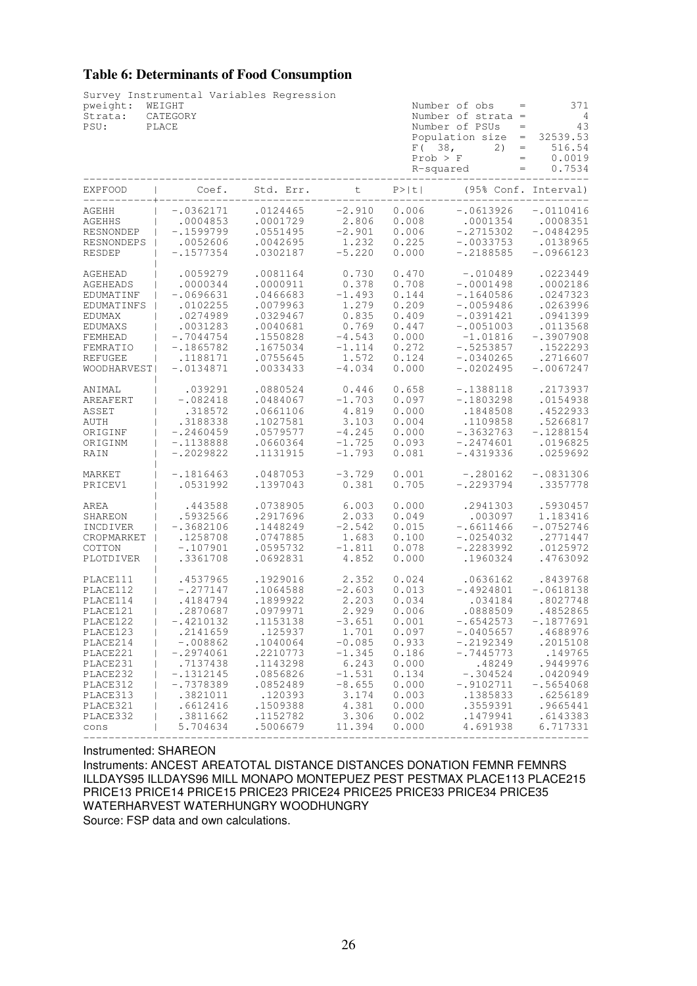# **Table 6: Determinants of Food Consumption**

| pweight:<br>Strata:<br>PSU: | Survey Instrumental Variables Regression<br>WEIGHT<br>CATEGORY<br>PLACE |           |          | F(38,<br>Prob > F<br>R-squared | Number of obs<br>$\hspace{1.6cm} = \hspace{1.6cm}$<br>Number of strata $=$<br>Number of PSUs<br>$\qquad \qquad =$<br>$\equiv$<br>Population size<br>2)<br>$\qquad \qquad =$<br>$\equiv$<br>$=$ | 371<br>$\overline{4}$<br>43<br>32539.53<br>516.54<br>0.0019<br>0.7534 |
|-----------------------------|-------------------------------------------------------------------------|-----------|----------|--------------------------------|------------------------------------------------------------------------------------------------------------------------------------------------------------------------------------------------|-----------------------------------------------------------------------|
| <b>EXPFOOD</b>              | Coef.                                                                   | Std. Err. | t -      | P >  t                         |                                                                                                                                                                                                | (95% Conf. Interval)                                                  |
| AGEHH                       | $-.0362171$                                                             | .0124465  | $-2.910$ | 0.006                          | $-.0613926$                                                                                                                                                                                    | $-.0110416$                                                           |
| AGEHHS                      | .0004853                                                                | .0001729  | 2.806    | 0.008                          | .0001354                                                                                                                                                                                       | .0008351                                                              |
| <b>RESNONDEP</b>            | $-.1599799$                                                             | .0551495  | $-2.901$ | 0.006                          | $-.2715302$                                                                                                                                                                                    | $-.0484295$                                                           |
| RESNONDEPS                  | .0052606                                                                | .0042695  | 1.232    | 0.225                          | $-.0033753$                                                                                                                                                                                    | .0138965                                                              |
| RESDEP                      | $-.1577354$                                                             | .0302187  | $-5.220$ | 0.000                          | $-.2188585$                                                                                                                                                                                    | $-.0966123$                                                           |
| AGEHEAD                     | .0059279                                                                | .0081164  | 0.730    | 0.470                          | $-.010489$                                                                                                                                                                                     | .0223449                                                              |
| AGEHEADS                    | .0000344                                                                | .0000911  | 0.378    | 0.708                          | $-.0001498$                                                                                                                                                                                    | .0002186                                                              |
| EDUMATINF                   | $-.0696631$                                                             | .0466683  | $-1.493$ | 0.144                          | $-.1640586$                                                                                                                                                                                    | .0247323                                                              |
| EDUMATINFS                  | .0102255                                                                | .0079963  | 1.279    | 0.209                          | $-.0059486$                                                                                                                                                                                    | .0263996                                                              |
| EDUMAX                      | .0274989                                                                | .0329467  | 0.835    | 0.409                          | $-.0391421$                                                                                                                                                                                    | .0941399                                                              |
| EDUMAXS                     | .0031283                                                                | .0040681  | 0.769    | 0.447                          | $-.0051003$                                                                                                                                                                                    | .0113568                                                              |
| FEMHEAD                     | $-.7044754$                                                             | .1550828  | $-4.543$ | 0.000                          | $-1.01816$                                                                                                                                                                                     | $-.3907908$                                                           |
| FEMRATIO                    | $-.1865782$                                                             | .1675034  | $-1.114$ | 0.272                          | $-.5253857$                                                                                                                                                                                    | .1522293                                                              |
| <b>REFUGEE</b>              | .1188171                                                                | .0755645  | 1.572    | 0.124                          | $-.0340265$                                                                                                                                                                                    | .2716607                                                              |
| <b>WOODHARVEST</b>          | $-.0134871$                                                             | .0033433  | $-4.034$ | 0.000                          | $-.0202495$                                                                                                                                                                                    | $-.0067247$                                                           |
| ANIMAL                      | .039291                                                                 | .0880524  | 0.446    | 0.658                          | $-.1388118$                                                                                                                                                                                    | .2173937                                                              |
| AREAFERT                    | $-.082418$                                                              | .0484067  | $-1.703$ | 0.097                          | $-.1803298$                                                                                                                                                                                    | .0154938                                                              |
| ASSET                       | .318572                                                                 | .0661106  | 4.819    | 0.000                          | .1848508                                                                                                                                                                                       | .4522933                                                              |
| AUTH                        | .3188338                                                                | .1027581  | 3.103    | 0.004                          | .1109858                                                                                                                                                                                       | .5266817                                                              |
| ORIGINF                     | $-.2460459$                                                             | .0579577  | $-4.245$ | 0.000                          | $-.3632763$                                                                                                                                                                                    | $-.1288154$                                                           |
| ORIGINM                     | -.1138888                                                               | .0660364  | $-1.725$ | 0.093                          | $-.2474601$                                                                                                                                                                                    | .0196825                                                              |
| RAIN                        | $-.2029822$                                                             | .1131915  | $-1.793$ | 0.081                          | $-.4319336$                                                                                                                                                                                    | .0259692                                                              |
| MARKET                      | $-.1816463$                                                             | .0487053  | $-3.729$ | 0.001                          | $-.280162$                                                                                                                                                                                     | $-.0831306$                                                           |
| PRICEV1                     | .0531992                                                                | .1397043  | 0.381    | 0.705                          | $-.2293794$                                                                                                                                                                                    | .3357778                                                              |
| AREA                        | .443588                                                                 | .0738905  | 6.003    | 0.000                          | .2941303                                                                                                                                                                                       | .5930457                                                              |
| SHAREON                     | .5932566                                                                | .2917696  | 2.033    | 0.049                          | .003097                                                                                                                                                                                        | 1.183416                                                              |
| INCDIVER                    | $-.3682106$                                                             | .1448249  | $-2.542$ | 0.015                          | $-.6611466$                                                                                                                                                                                    | $-.0752746$                                                           |
| CROPMARKET                  | .1258708                                                                | .0747885  | 1.683    | 0.100                          | $-.0254032$                                                                                                                                                                                    | .2771447                                                              |
| COTTON                      | $-.107901$                                                              | .0595732  | $-1.811$ | 0.078                          | $-.2283992$                                                                                                                                                                                    | .0125972                                                              |
| PLOTDIVER                   | .3361708                                                                | .0692831  | 4.852    | 0.000                          | .1960324                                                                                                                                                                                       | .4763092                                                              |
| PLACE111                    | .4537965                                                                | .1929016  | 2.352    | 0.024                          | .0636162                                                                                                                                                                                       | .8439768                                                              |
| PLACE112                    | $-.277147$                                                              | .1064588  | $-2.603$ | 0.013                          | $-.4924801$                                                                                                                                                                                    | $-.0618138$                                                           |
| PLACE114                    | .4184794                                                                | .1899922  | 2.203    | 0.034                          | .034184                                                                                                                                                                                        | .8027748                                                              |
| PLACE121                    | .2870687                                                                | .0979971  | 2.929    | 0.006                          | .0888509                                                                                                                                                                                       | .4852865                                                              |
| PLACE122                    | $-.4210132$                                                             | .1153138  | $-3.651$ | 0.001                          | $-.6542573$                                                                                                                                                                                    | $-.1877691$                                                           |
| PLACE123                    | .2141659                                                                | .125937   | 1.701    | 0.097                          | $-.0405657$                                                                                                                                                                                    | .4688976                                                              |
| PLACE214                    | $-.008862$                                                              | .1040064  | $-0.085$ | 0.933                          | $-.2192349$                                                                                                                                                                                    | .2015108                                                              |
| PLACE221                    | $-.2974061$                                                             | .2210773  | $-1.345$ | 0.186                          | $-.7445773$                                                                                                                                                                                    | .149765                                                               |
| PLACE231                    | .7137438                                                                | .1143298  | 6.243    | 0.000                          | .48249                                                                                                                                                                                         | .9449976                                                              |
| PLACE232                    | $-.1312145$                                                             | .0856826  | $-1.531$ | 0.134                          | $-.304524$                                                                                                                                                                                     | .0420949                                                              |
| PLACE312                    | $-.7378389$                                                             | .0852489  | $-8.655$ | 0.000                          | $-.9102711$                                                                                                                                                                                    | $-.5654068$                                                           |
| PLACE313                    | .3821011                                                                | .120393   | 3.174    | 0.003                          | .1385833                                                                                                                                                                                       | .6256189                                                              |
| PLACE321                    | .6612416                                                                | .1509388  | 4.381    | 0.000                          | .3559391                                                                                                                                                                                       | .9665441                                                              |
| PLACE332                    | .3811662                                                                | .1152782  | 3.306    | 0.002                          | .1479941                                                                                                                                                                                       | .6143383                                                              |
| cons                        | 5.704634                                                                | .5006679  | 11.394   | 0.000                          | 4.691938                                                                                                                                                                                       | 6.717331                                                              |

Instrumented: SHAREON

Instruments: ANCEST AREATOTAL DISTANCE DISTANCES DONATION FEMNR FEMNRS ILLDAYS95 ILLDAYS96 MILL MONAPO MONTEPUEZ PEST PESTMAX PLACE113 PLACE215 PRICE13 PRICE14 PRICE15 PRICE23 PRICE24 PRICE25 PRICE33 PRICE34 PRICE35 WATERHARVEST WATERHUNGRY WOODHUNGRY Source: FSP data and own calculations.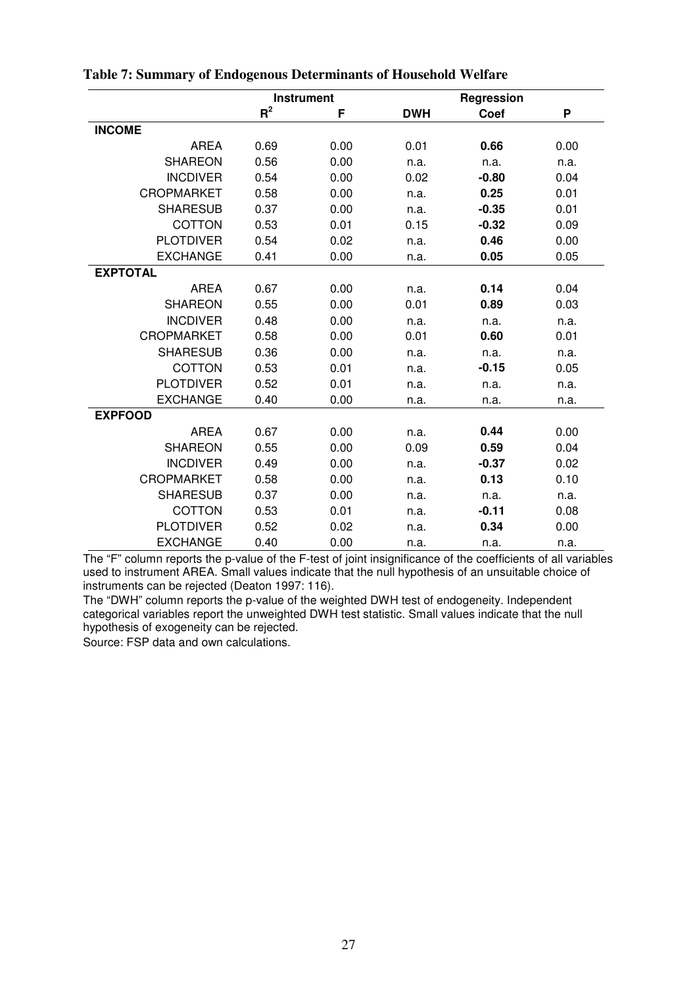|                   |       | <b>Instrument</b> |            | Regression |      |
|-------------------|-------|-------------------|------------|------------|------|
|                   | $R^2$ | F                 | <b>DWH</b> | Coef       | P    |
| <b>INCOME</b>     |       |                   |            |            |      |
| <b>AREA</b>       | 0.69  | 0.00              | 0.01       | 0.66       | 0.00 |
| <b>SHAREON</b>    | 0.56  | 0.00              | n.a.       | n.a.       | n.a. |
| <b>INCDIVER</b>   | 0.54  | 0.00              | 0.02       | $-0.80$    | 0.04 |
| <b>CROPMARKET</b> | 0.58  | 0.00              | n.a.       | 0.25       | 0.01 |
| <b>SHARESUB</b>   | 0.37  | 0.00              | n.a.       | $-0.35$    | 0.01 |
| COTTON            | 0.53  | 0.01              | 0.15       | $-0.32$    | 0.09 |
| <b>PLOTDIVER</b>  | 0.54  | 0.02              | n.a.       | 0.46       | 0.00 |
| <b>EXCHANGE</b>   | 0.41  | 0.00              | n.a.       | 0.05       | 0.05 |
| <b>EXPTOTAL</b>   |       |                   |            |            |      |
| <b>AREA</b>       | 0.67  | 0.00              | n.a.       | 0.14       | 0.04 |
| <b>SHAREON</b>    | 0.55  | 0.00              | 0.01       | 0.89       | 0.03 |
| <b>INCDIVER</b>   | 0.48  | 0.00              | n.a.       | n.a.       | n.a. |
| <b>CROPMARKET</b> | 0.58  | 0.00              | 0.01       | 0.60       | 0.01 |
| <b>SHARESUB</b>   | 0.36  | 0.00              | n.a.       | n.a.       | n.a. |
| COTTON            | 0.53  | 0.01              | n.a.       | $-0.15$    | 0.05 |
| <b>PLOTDIVER</b>  | 0.52  | 0.01              | n.a.       | n.a.       | n.a. |
| <b>EXCHANGE</b>   | 0.40  | 0.00              | n.a.       | n.a.       | n.a. |
| <b>EXPFOOD</b>    |       |                   |            |            |      |
| <b>AREA</b>       | 0.67  | 0.00              | n.a.       | 0.44       | 0.00 |
| <b>SHAREON</b>    | 0.55  | 0.00              | 0.09       | 0.59       | 0.04 |
| <b>INCDIVER</b>   | 0.49  | 0.00              | n.a.       | $-0.37$    | 0.02 |
| <b>CROPMARKET</b> | 0.58  | 0.00              | n.a.       | 0.13       | 0.10 |
| <b>SHARESUB</b>   | 0.37  | 0.00              | n.a.       | n.a.       | n.a. |
| COTTON            | 0.53  | 0.01              | n.a.       | $-0.11$    | 0.08 |
| <b>PLOTDIVER</b>  | 0.52  | 0.02              | n.a.       | 0.34       | 0.00 |
| <b>EXCHANGE</b>   | 0.40  | 0.00              | n.a.       | n.a.       | n.a. |

# **Table 7: Summary of Endogenous Determinants of Household Welfare**

The "F" column reports the p-value of the F-test of joint insignificance of the coefficients of all variables used to instrument AREA. Small values indicate that the null hypothesis of an unsuitable choice of instruments can be rejected (Deaton 1997: 116).

The "DWH" column reports the p-value of the weighted DWH test of endogeneity. Independent categorical variables report the unweighted DWH test statistic. Small values indicate that the null hypothesis of exogeneity can be rejected.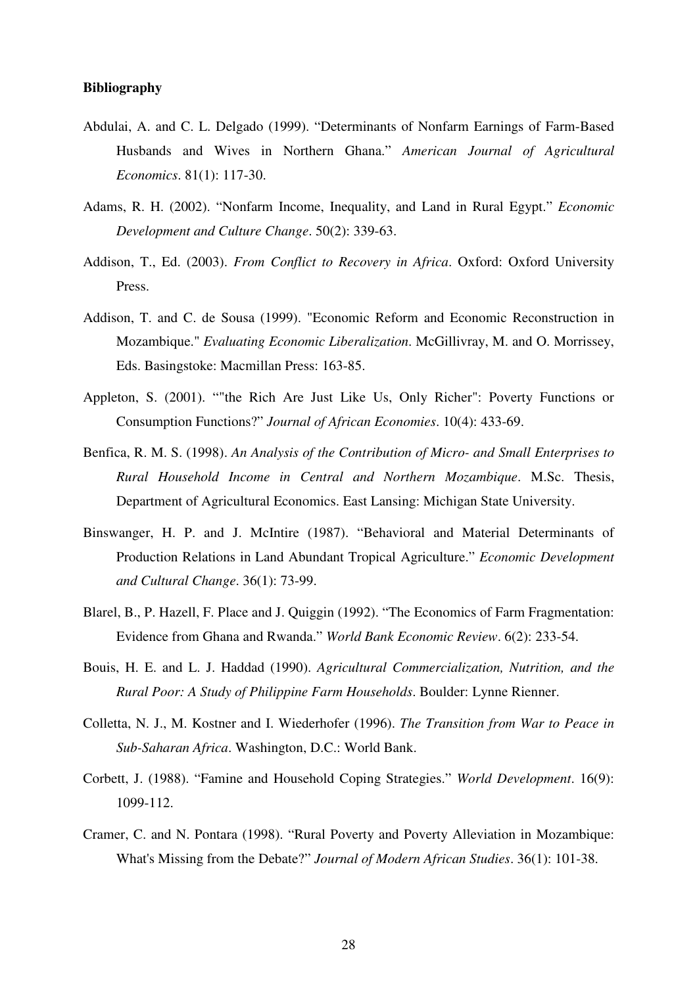## **Bibliography**

- Abdulai, A. and C. L. Delgado (1999). "Determinants of Nonfarm Earnings of Farm-Based Husbands and Wives in Northern Ghana." *American Journal of Agricultural Economics*. 81(1): 117-30.
- Adams, R. H. (2002). "Nonfarm Income, Inequality, and Land in Rural Egypt." *Economic Development and Culture Change*. 50(2): 339-63.
- Addison, T., Ed. (2003). *From Conflict to Recovery in Africa*. Oxford: Oxford University Press.
- Addison, T. and C. de Sousa (1999). "Economic Reform and Economic Reconstruction in Mozambique." *Evaluating Economic Liberalization*. McGillivray, M. and O. Morrissey, Eds. Basingstoke: Macmillan Press: 163-85.
- Appleton, S. (2001). ""the Rich Are Just Like Us, Only Richer": Poverty Functions or Consumption Functions?" *Journal of African Economies*. 10(4): 433-69.
- Benfica, R. M. S. (1998). *An Analysis of the Contribution of Micro- and Small Enterprises to Rural Household Income in Central and Northern Mozambique*. M.Sc. Thesis, Department of Agricultural Economics. East Lansing: Michigan State University.
- Binswanger, H. P. and J. McIntire (1987). "Behavioral and Material Determinants of Production Relations in Land Abundant Tropical Agriculture." *Economic Development and Cultural Change*. 36(1): 73-99.
- Blarel, B., P. Hazell, F. Place and J. Quiggin (1992). "The Economics of Farm Fragmentation: Evidence from Ghana and Rwanda." *World Bank Economic Review*. 6(2): 233-54.
- Bouis, H. E. and L. J. Haddad (1990). *Agricultural Commercialization, Nutrition, and the Rural Poor: A Study of Philippine Farm Households*. Boulder: Lynne Rienner.
- Colletta, N. J., M. Kostner and I. Wiederhofer (1996). *The Transition from War to Peace in Sub-Saharan Africa*. Washington, D.C.: World Bank.
- Corbett, J. (1988). "Famine and Household Coping Strategies." *World Development*. 16(9): 1099-112.
- Cramer, C. and N. Pontara (1998). "Rural Poverty and Poverty Alleviation in Mozambique: What's Missing from the Debate?" *Journal of Modern African Studies*. 36(1): 101-38.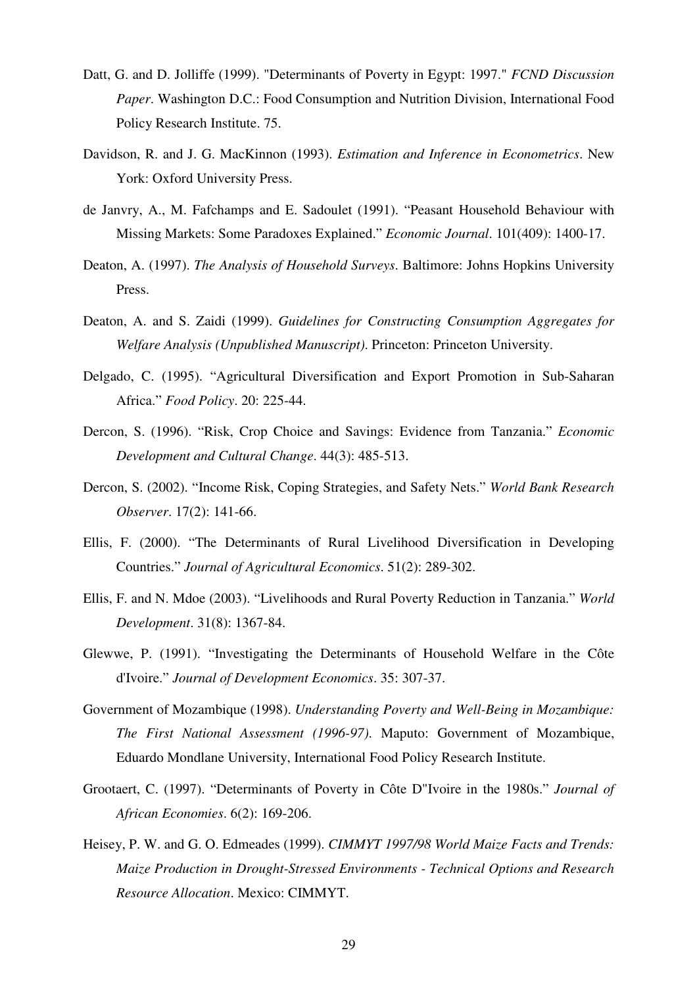- Datt, G. and D. Jolliffe (1999). "Determinants of Poverty in Egypt: 1997." *FCND Discussion Paper*. Washington D.C.: Food Consumption and Nutrition Division, International Food Policy Research Institute. 75.
- Davidson, R. and J. G. MacKinnon (1993). *Estimation and Inference in Econometrics*. New York: Oxford University Press.
- de Janvry, A., M. Fafchamps and E. Sadoulet (1991). "Peasant Household Behaviour with Missing Markets: Some Paradoxes Explained." *Economic Journal*. 101(409): 1400-17.
- Deaton, A. (1997). *The Analysis of Household Surveys*. Baltimore: Johns Hopkins University Press.
- Deaton, A. and S. Zaidi (1999). *Guidelines for Constructing Consumption Aggregates for Welfare Analysis (Unpublished Manuscript)*. Princeton: Princeton University.
- Delgado, C. (1995). "Agricultural Diversification and Export Promotion in Sub-Saharan Africa." *Food Policy*. 20: 225-44.
- Dercon, S. (1996). "Risk, Crop Choice and Savings: Evidence from Tanzania." *Economic Development and Cultural Change*. 44(3): 485-513.
- Dercon, S. (2002). "Income Risk, Coping Strategies, and Safety Nets." *World Bank Research Observer*. 17(2): 141-66.
- Ellis, F. (2000). "The Determinants of Rural Livelihood Diversification in Developing Countries." *Journal of Agricultural Economics*. 51(2): 289-302.
- Ellis, F. and N. Mdoe (2003). "Livelihoods and Rural Poverty Reduction in Tanzania." *World Development*. 31(8): 1367-84.
- Glewwe, P. (1991). "Investigating the Determinants of Household Welfare in the Côte d'Ivoire." *Journal of Development Economics*. 35: 307-37.
- Government of Mozambique (1998). *Understanding Poverty and Well-Being in Mozambique: The First National Assessment (1996-97)*. Maputo: Government of Mozambique, Eduardo Mondlane University, International Food Policy Research Institute.
- Grootaert, C. (1997). "Determinants of Poverty in Côte D"Ivoire in the 1980s." *Journal of African Economies*. 6(2): 169-206.
- Heisey, P. W. and G. O. Edmeades (1999). *CIMMYT 1997/98 World Maize Facts and Trends: Maize Production in Drought-Stressed Environments - Technical Options and Research Resource Allocation*. Mexico: CIMMYT.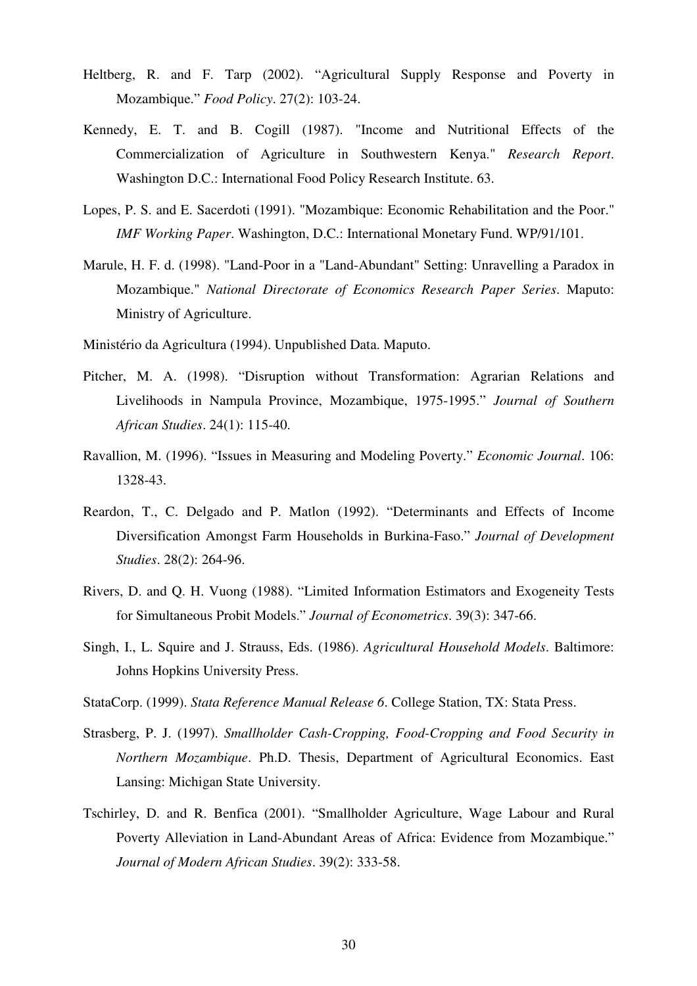- Heltberg, R. and F. Tarp (2002). "Agricultural Supply Response and Poverty in Mozambique." *Food Policy*. 27(2): 103-24.
- Kennedy, E. T. and B. Cogill (1987). "Income and Nutritional Effects of the Commercialization of Agriculture in Southwestern Kenya." *Research Report*. Washington D.C.: International Food Policy Research Institute. 63.
- Lopes, P. S. and E. Sacerdoti (1991). "Mozambique: Economic Rehabilitation and the Poor." *IMF Working Paper*. Washington, D.C.: International Monetary Fund. WP/91/101.
- Marule, H. F. d. (1998). "Land-Poor in a "Land-Abundant" Setting: Unravelling a Paradox in Mozambique." *National Directorate of Economics Research Paper Series*. Maputo: Ministry of Agriculture.
- Ministério da Agricultura (1994). Unpublished Data. Maputo.
- Pitcher, M. A. (1998). "Disruption without Transformation: Agrarian Relations and Livelihoods in Nampula Province, Mozambique, 1975-1995." *Journal of Southern African Studies*. 24(1): 115-40.
- Ravallion, M. (1996). "Issues in Measuring and Modeling Poverty." *Economic Journal*. 106: 1328-43.
- Reardon, T., C. Delgado and P. Matlon (1992). "Determinants and Effects of Income Diversification Amongst Farm Households in Burkina-Faso." *Journal of Development Studies*. 28(2): 264-96.
- Rivers, D. and Q. H. Vuong (1988). "Limited Information Estimators and Exogeneity Tests for Simultaneous Probit Models." *Journal of Econometrics*. 39(3): 347-66.
- Singh, I., L. Squire and J. Strauss, Eds. (1986). *Agricultural Household Models*. Baltimore: Johns Hopkins University Press.
- StataCorp. (1999). *Stata Reference Manual Release 6*. College Station, TX: Stata Press.
- Strasberg, P. J. (1997). *Smallholder Cash-Cropping, Food-Cropping and Food Security in Northern Mozambique*. Ph.D. Thesis, Department of Agricultural Economics. East Lansing: Michigan State University.
- Tschirley, D. and R. Benfica (2001). "Smallholder Agriculture, Wage Labour and Rural Poverty Alleviation in Land-Abundant Areas of Africa: Evidence from Mozambique." *Journal of Modern African Studies*. 39(2): 333-58.